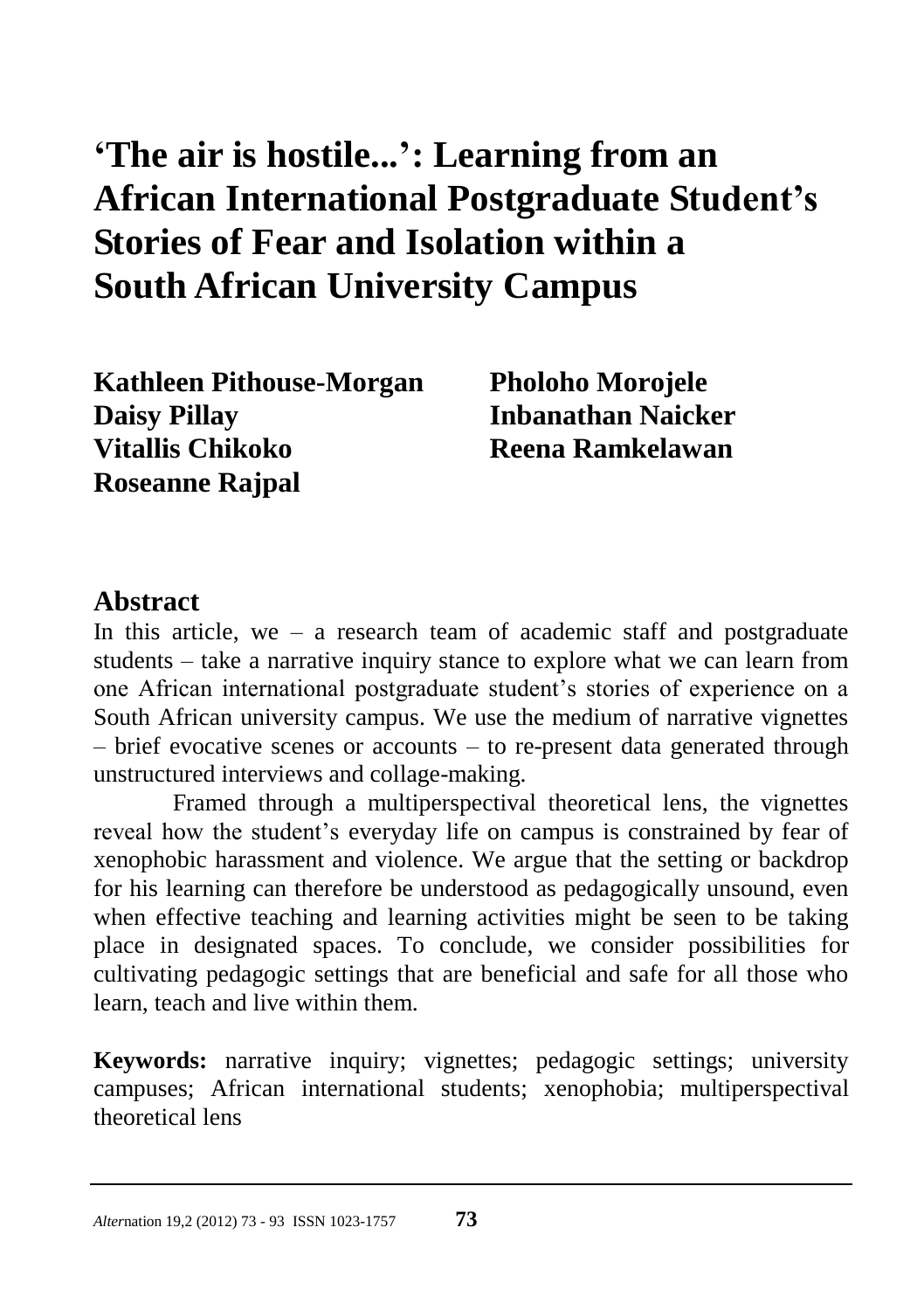# **'The air is hostile...': Learning from an African International Postgraduate Student's Stories of Fear and Isolation within a South African University Campus**

**Kathleen Pithouse-Morgan Pholoho Morojele Daisy Pillay Inbanathan Naicker Vitallis Chikoko Reena Ramkelawan Roseanne Rajpal**

#### **Abstract**

In this article, we – a research team of academic staff and postgraduate students – take a narrative inquiry stance to explore what we can learn from one African international postgraduate student"s stories of experience on a South African university campus. We use the medium of narrative vignettes – brief evocative scenes or accounts – to re-present data generated through unstructured interviews and collage-making.

Framed through a multiperspectival theoretical lens, the vignettes reveal how the student"s everyday life on campus is constrained by fear of xenophobic harassment and violence. We argue that the setting or backdrop for his learning can therefore be understood as pedagogically unsound, even when effective teaching and learning activities might be seen to be taking place in designated spaces. To conclude, we consider possibilities for cultivating pedagogic settings that are beneficial and safe for all those who learn, teach and live within them.

**Keywords:** narrative inquiry; vignettes; pedagogic settings; university campuses; African international students; xenophobia; multiperspectival theoretical lens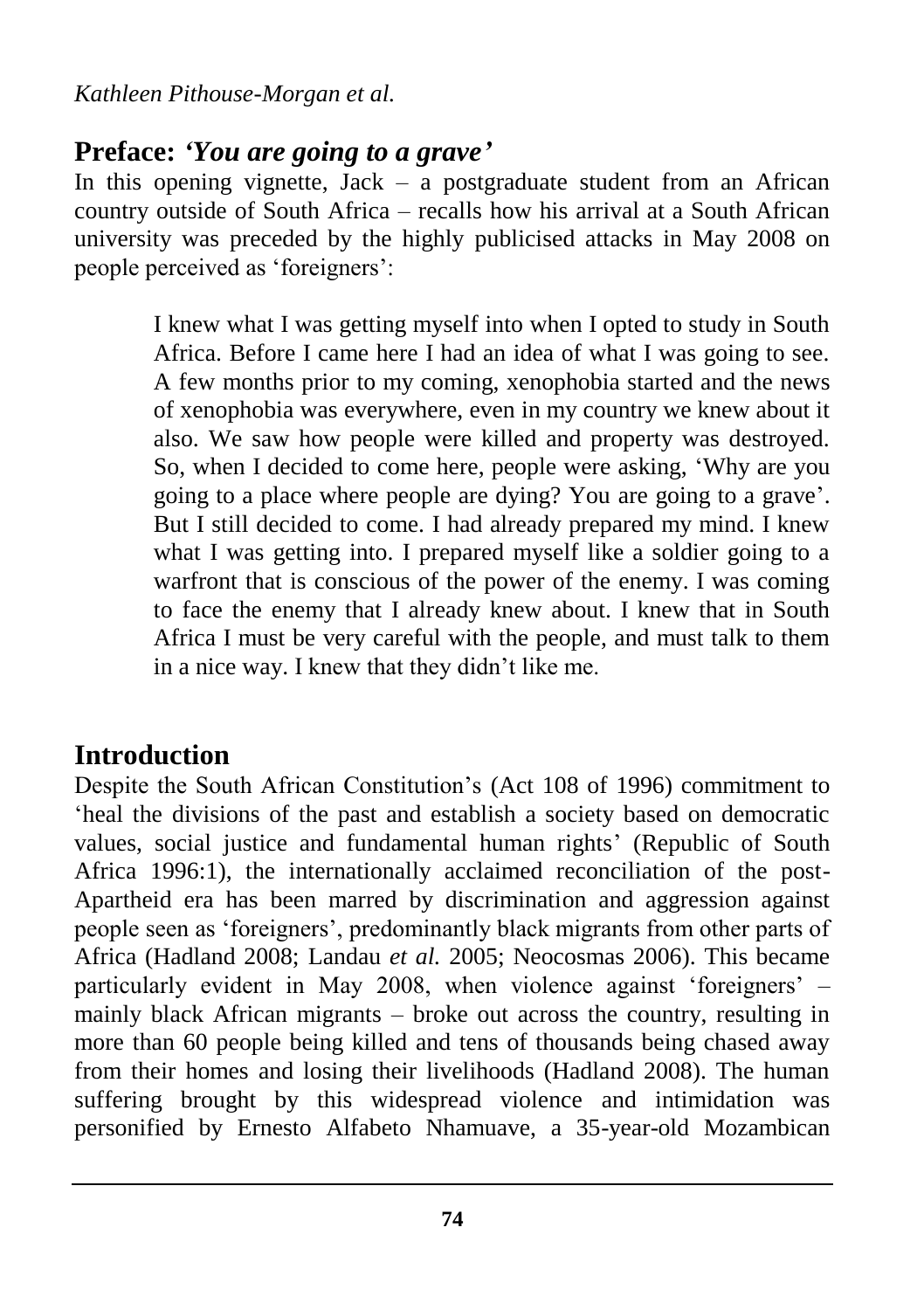#### **Preface:** *'You are going to a grave'*

In this opening vignette,  $Jack - a$  postgraduate student from an African country outside of South Africa – recalls how his arrival at a South African university was preceded by the highly publicised attacks in May 2008 on people perceived as 'foreigners':

> I knew what I was getting myself into when I opted to study in South Africa. Before I came here I had an idea of what I was going to see. A few months prior to my coming, xenophobia started and the news of xenophobia was everywhere, even in my country we knew about it also. We saw how people were killed and property was destroyed. So, when I decided to come here, people were asking, "Why are you going to a place where people are dying? You are going to a grave". But I still decided to come. I had already prepared my mind. I knew what I was getting into. I prepared myself like a soldier going to a warfront that is conscious of the power of the enemy. I was coming to face the enemy that I already knew about. I knew that in South Africa I must be very careful with the people, and must talk to them in a nice way. I knew that they didn"t like me.

### **Introduction**

Despite the South African Constitution"s (Act 108 of 1996) commitment to "heal the divisions of the past and establish a society based on democratic values, social justice and fundamental human rights' (Republic of South Africa 1996:1), the internationally acclaimed reconciliation of the post-Apartheid era has been marred by discrimination and aggression against people seen as "foreigners", predominantly black migrants from other parts of Africa (Hadland 2008; Landau *et al.* 2005; Neocosmas 2006). This became particularly evident in May 2008, when violence against "foreigners" – mainly black African migrants – broke out across the country, resulting in more than 60 people being killed and tens of thousands being chased away from their homes and losing their livelihoods (Hadland 2008). The human suffering brought by this widespread violence and intimidation was personified by Ernesto Alfabeto Nhamuave, a 35-year-old Mozambican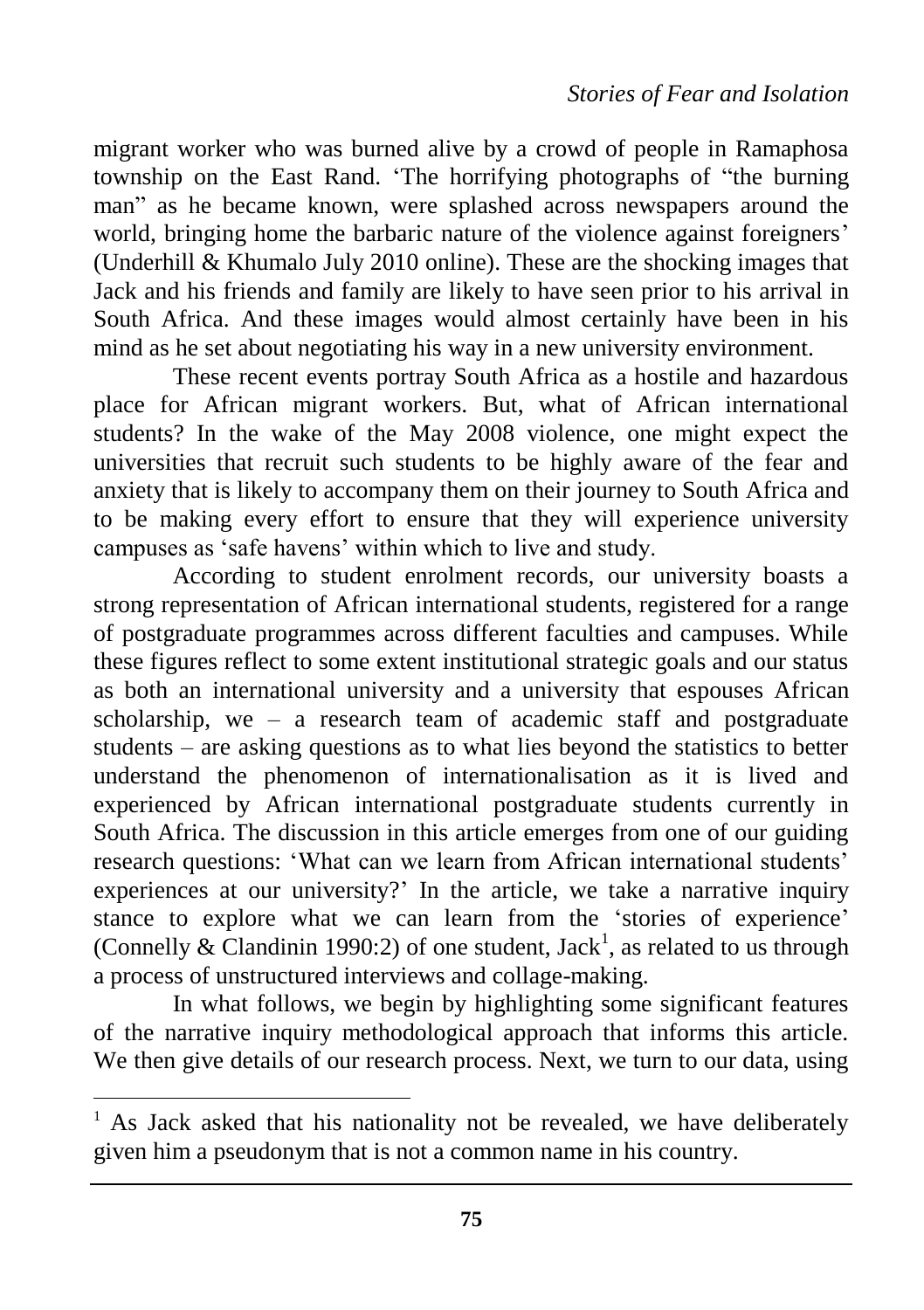migrant worker who was burned alive by a crowd of people in Ramaphosa township on the East Rand. "The horrifying photographs of "the burning man" as he became known, were splashed across newspapers around the world, bringing home the barbaric nature of the violence against foreigners' (Underhill & Khumalo July 2010 online). These are the shocking images that Jack and his friends and family are likely to have seen prior to his arrival in South Africa. And these images would almost certainly have been in his mind as he set about negotiating his way in a new university environment.

These recent events portray South Africa as a hostile and hazardous place for African migrant workers. But, what of African international students? In the wake of the May 2008 violence, one might expect the universities that recruit such students to be highly aware of the fear and anxiety that is likely to accompany them on their journey to South Africa and to be making every effort to ensure that they will experience university campuses as "safe havens" within which to live and study.

According to student enrolment records, our university boasts a strong representation of African international students, registered for a range of postgraduate programmes across different faculties and campuses. While these figures reflect to some extent institutional strategic goals and our status as both an international university and a university that espouses African scholarship, we – a research team of academic staff and postgraduate students – are asking questions as to what lies beyond the statistics to better understand the phenomenon of internationalisation as it is lived and experienced by African international postgraduate students currently in South Africa. The discussion in this article emerges from one of our guiding research questions: 'What can we learn from African international students' experiences at our university?" In the article, we take a narrative inquiry stance to explore what we can learn from the 'stories of experience' (Connelly & Clandinin 1990:2) of one student, Jack<sup>1</sup>, as related to us through a process of unstructured interviews and collage-making.

In what follows, we begin by highlighting some significant features of the narrative inquiry methodological approach that informs this article. We then give details of our research process. Next, we turn to our data, using

 $\overline{a}$ 

 $1$  As Jack asked that his nationality not be revealed, we have deliberately given him a pseudonym that is not a common name in his country.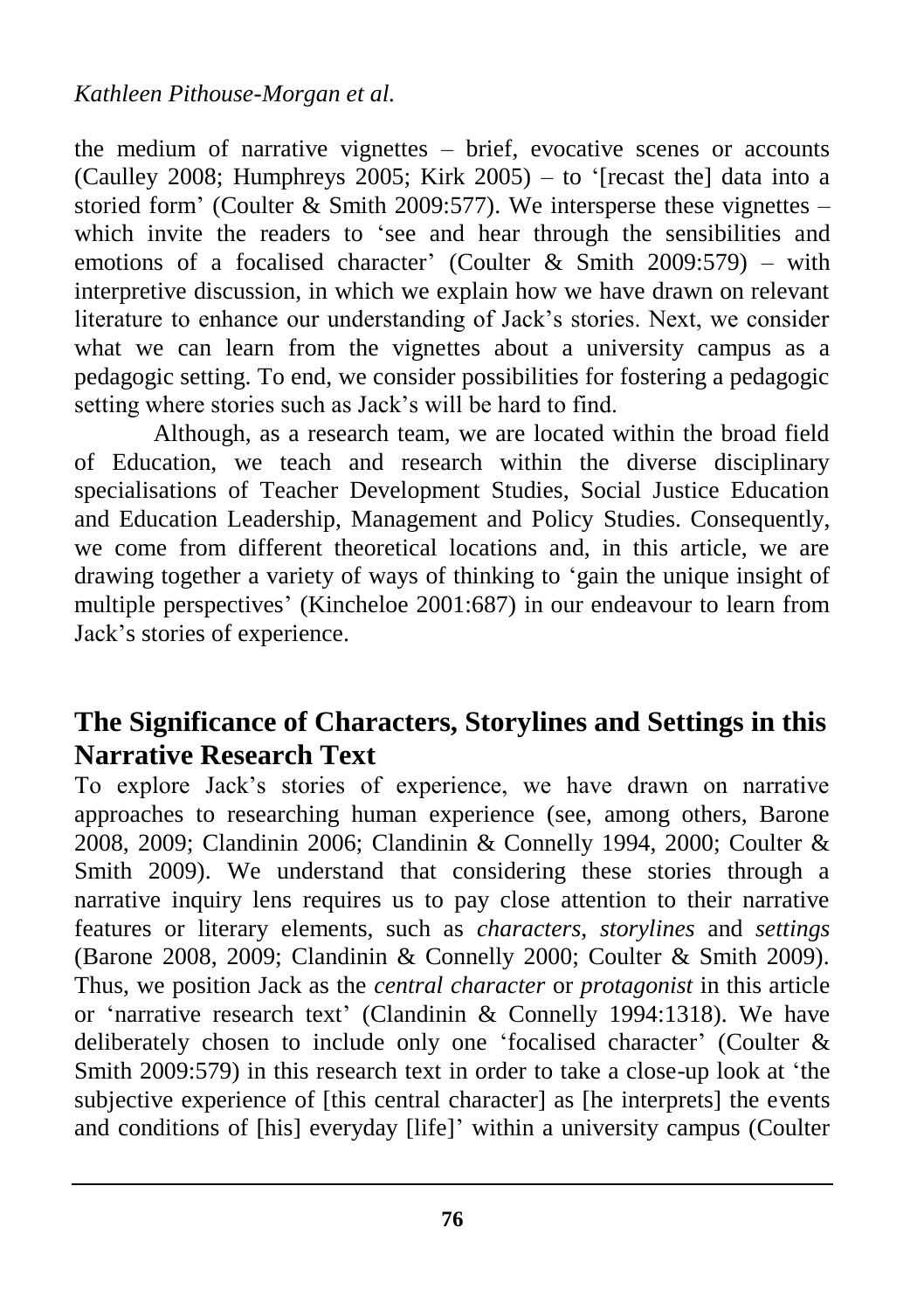the medium of narrative vignettes – brief, evocative scenes or accounts (Caulley 2008; Humphreys 2005; Kirk 2005) – to '[recast the] data into a storied form' (Coulter  $&$  Smith 2009:577). We intersperse these vignettes – which invite the readers to "see and hear through the sensibilities and emotions of a focalised character' (Coulter & Smith 2009:579) – with interpretive discussion, in which we explain how we have drawn on relevant literature to enhance our understanding of Jack"s stories. Next, we consider what we can learn from the vignettes about a university campus as a pedagogic setting. To end, we consider possibilities for fostering a pedagogic setting where stories such as Jack"s will be hard to find.

Although, as a research team, we are located within the broad field of Education, we teach and research within the diverse disciplinary specialisations of Teacher Development Studies, Social Justice Education and Education Leadership, Management and Policy Studies. Consequently, we come from different theoretical locations and, in this article, we are drawing together a variety of ways of thinking to "gain the unique insight of multiple perspectives" (Kincheloe 2001:687) in our endeavour to learn from Jack"s stories of experience.

# **The Significance of Characters, Storylines and Settings in this Narrative Research Text**

To explore Jack"s stories of experience, we have drawn on narrative approaches to researching human experience (see, among others, Barone 2008, 2009; Clandinin 2006; Clandinin & Connelly 1994, 2000; Coulter & Smith 2009). We understand that considering these stories through a narrative inquiry lens requires us to pay close attention to their narrative features or literary elements, such as *characters, storylines* and *settings* (Barone 2008, 2009; Clandinin & Connelly 2000; Coulter & Smith 2009). Thus, we position Jack as the *central character* or *protagonist* in this article or 'narrative research text' (Clandinin & Connelly 1994:1318). We have deliberately chosen to include only one 'focalised character' (Coulter & Smith 2009:579) in this research text in order to take a close-up look at "the subjective experience of [this central character] as [he interprets] the events and conditions of [his] everyday [life]' within a university campus (Coulter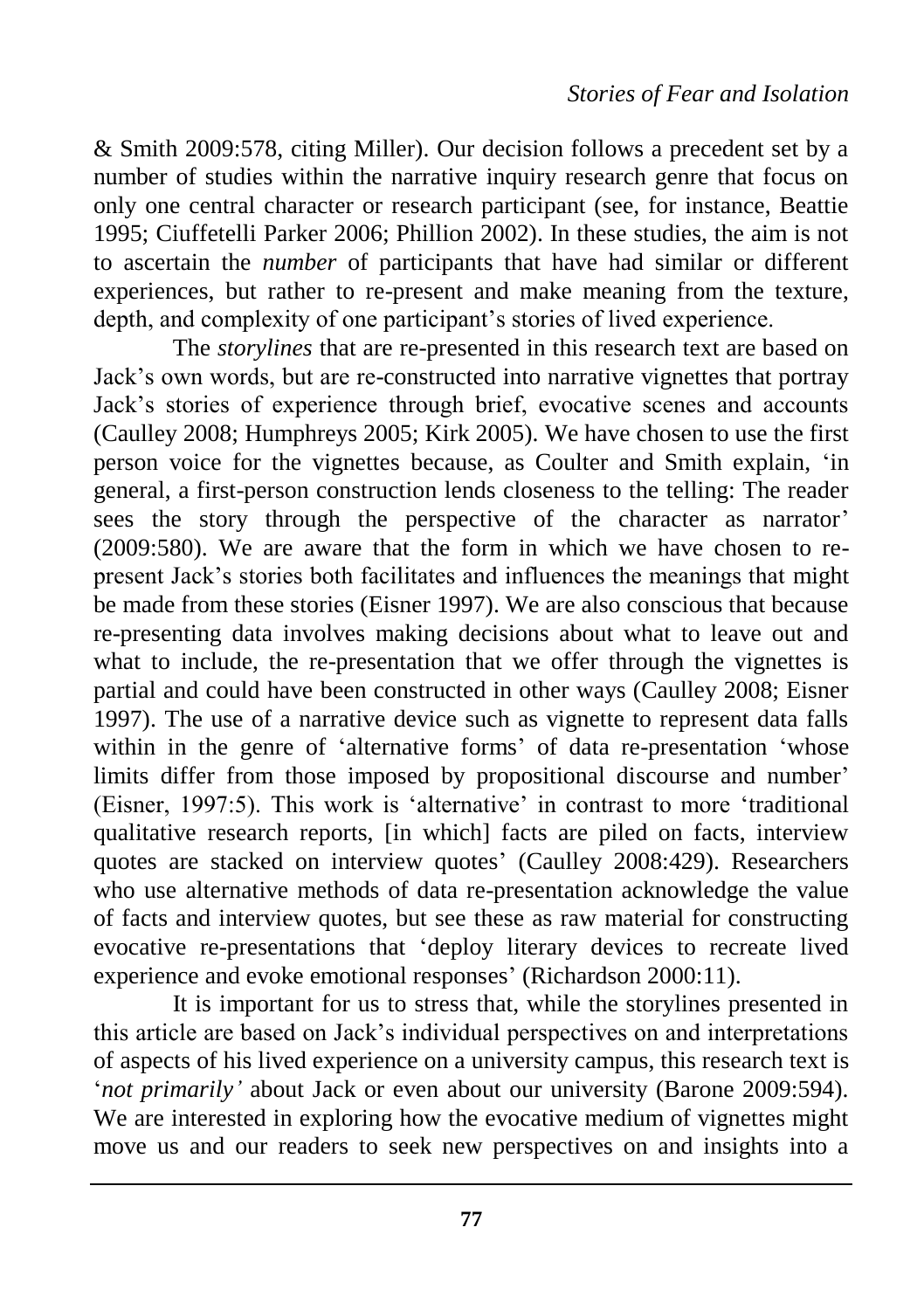& Smith 2009:578, citing Miller). Our decision follows a precedent set by a number of studies within the narrative inquiry research genre that focus on only one central character or research participant (see, for instance, Beattie 1995; Ciuffetelli Parker 2006; Phillion 2002). In these studies, the aim is not to ascertain the *number* of participants that have had similar or different experiences, but rather to re-present and make meaning from the texture, depth, and complexity of one participant's stories of lived experience.

The *storylines* that are re-presented in this research text are based on Jack"s own words, but are re-constructed into narrative vignettes that portray Jack"s stories of experience through brief, evocative scenes and accounts (Caulley 2008; Humphreys 2005; Kirk 2005). We have chosen to use the first person voice for the vignettes because, as Coulter and Smith explain, "in general, a first-person construction lends closeness to the telling: The reader sees the story through the perspective of the character as narrator' (2009:580). We are aware that the form in which we have chosen to represent Jack"s stories both facilitates and influences the meanings that might be made from these stories (Eisner 1997). We are also conscious that because re-presenting data involves making decisions about what to leave out and what to include, the re-presentation that we offer through the vignettes is partial and could have been constructed in other ways (Caulley 2008; Eisner 1997). The use of a narrative device such as vignette to represent data falls within in the genre of 'alternative forms' of data re-presentation 'whose limits differ from those imposed by propositional discourse and number' (Eisner, 1997:5). This work is "alternative" in contrast to more "traditional qualitative research reports, [in which] facts are piled on facts, interview quotes are stacked on interview quotes' (Caulley 2008:429). Researchers who use alternative methods of data re-presentation acknowledge the value of facts and interview quotes, but see these as raw material for constructing evocative re-presentations that "deploy literary devices to recreate lived experience and evoke emotional responses' (Richardson 2000:11).

It is important for us to stress that, while the storylines presented in this article are based on Jack"s individual perspectives on and interpretations of aspects of his lived experience on a university campus, this research text is 'not primarily' about Jack or even about our university (Barone 2009:594). We are interested in exploring how the evocative medium of vignettes might move us and our readers to seek new perspectives on and insights into a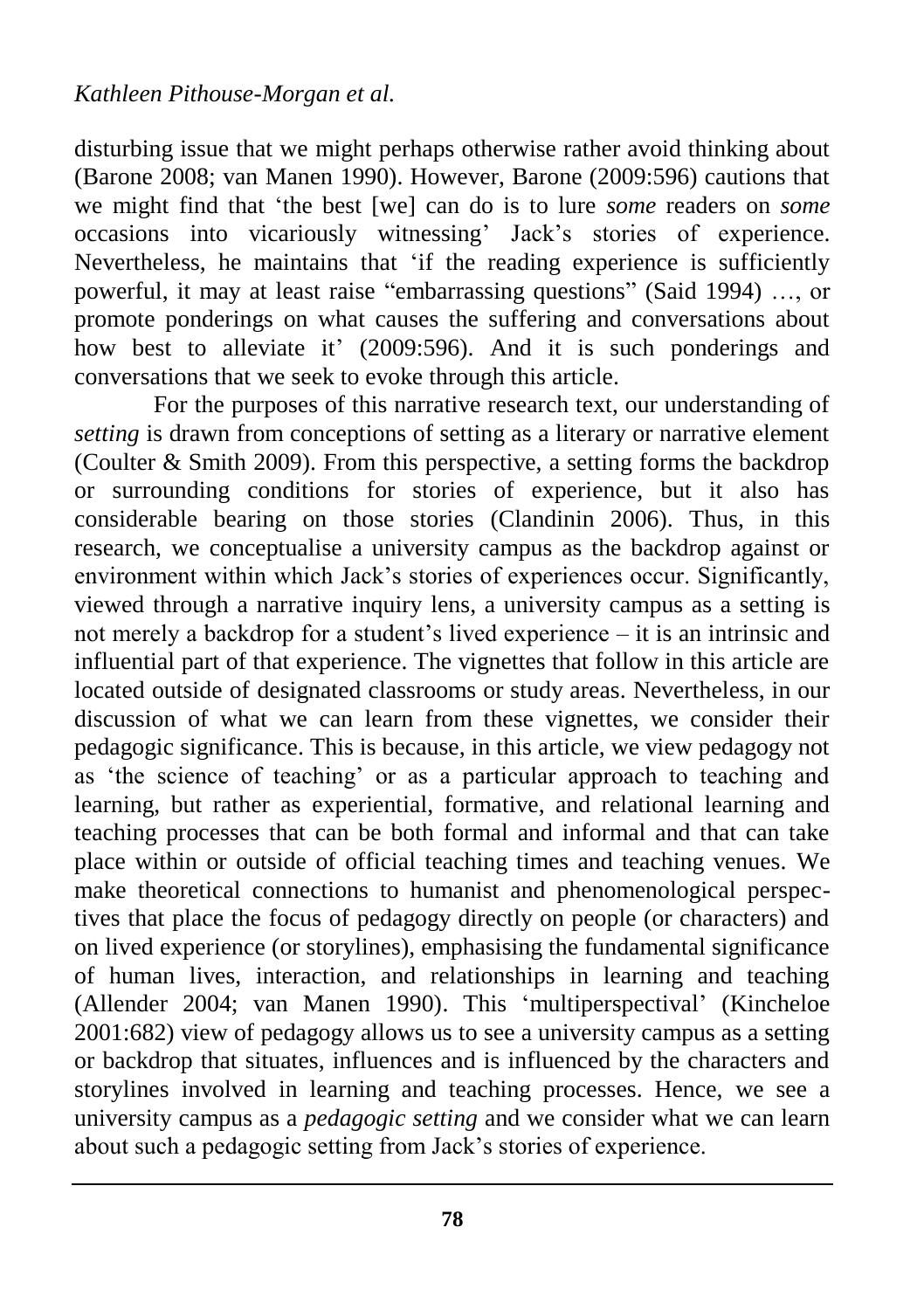disturbing issue that we might perhaps otherwise rather avoid thinking about (Barone 2008; van Manen 1990). However, Barone (2009:596) cautions that we might find that "the best [we] can do is to lure *some* readers on *some* occasions into vicariously witnessing" Jack"s stories of experience. Nevertheless, he maintains that "if the reading experience is sufficiently powerful, it may at least raise "embarrassing questions" (Said 1994) …, or promote ponderings on what causes the suffering and conversations about how best to alleviate it'  $(2009:596)$ . And it is such ponderings and conversations that we seek to evoke through this article.

For the purposes of this narrative research text, our understanding of *setting* is drawn from conceptions of setting as a literary or narrative element (Coulter & Smith 2009). From this perspective, a setting forms the backdrop or surrounding conditions for stories of experience, but it also has considerable bearing on those stories (Clandinin 2006). Thus, in this research, we conceptualise a university campus as the backdrop against or environment within which Jack's stories of experiences occur. Significantly, viewed through a narrative inquiry lens, a university campus as a setting is not merely a backdrop for a student"s lived experience – it is an intrinsic and influential part of that experience. The vignettes that follow in this article are located outside of designated classrooms or study areas. Nevertheless, in our discussion of what we can learn from these vignettes, we consider their pedagogic significance. This is because, in this article, we view pedagogy not as 'the science of teaching' or as a particular approach to teaching and learning, but rather as experiential, formative, and relational learning and teaching processes that can be both formal and informal and that can take place within or outside of official teaching times and teaching venues. We make theoretical connections to humanist and phenomenological perspectives that place the focus of pedagogy directly on people (or characters) and on lived experience (or storylines), emphasising the fundamental significance of human lives, interaction, and relationships in learning and teaching (Allender 2004; van Manen 1990). This "multiperspectival" (Kincheloe 2001:682) view of pedagogy allows us to see a university campus as a setting or backdrop that situates, influences and is influenced by the characters and storylines involved in learning and teaching processes. Hence, we see a university campus as a *pedagogic setting* and we consider what we can learn about such a pedagogic setting from Jack"s stories of experience.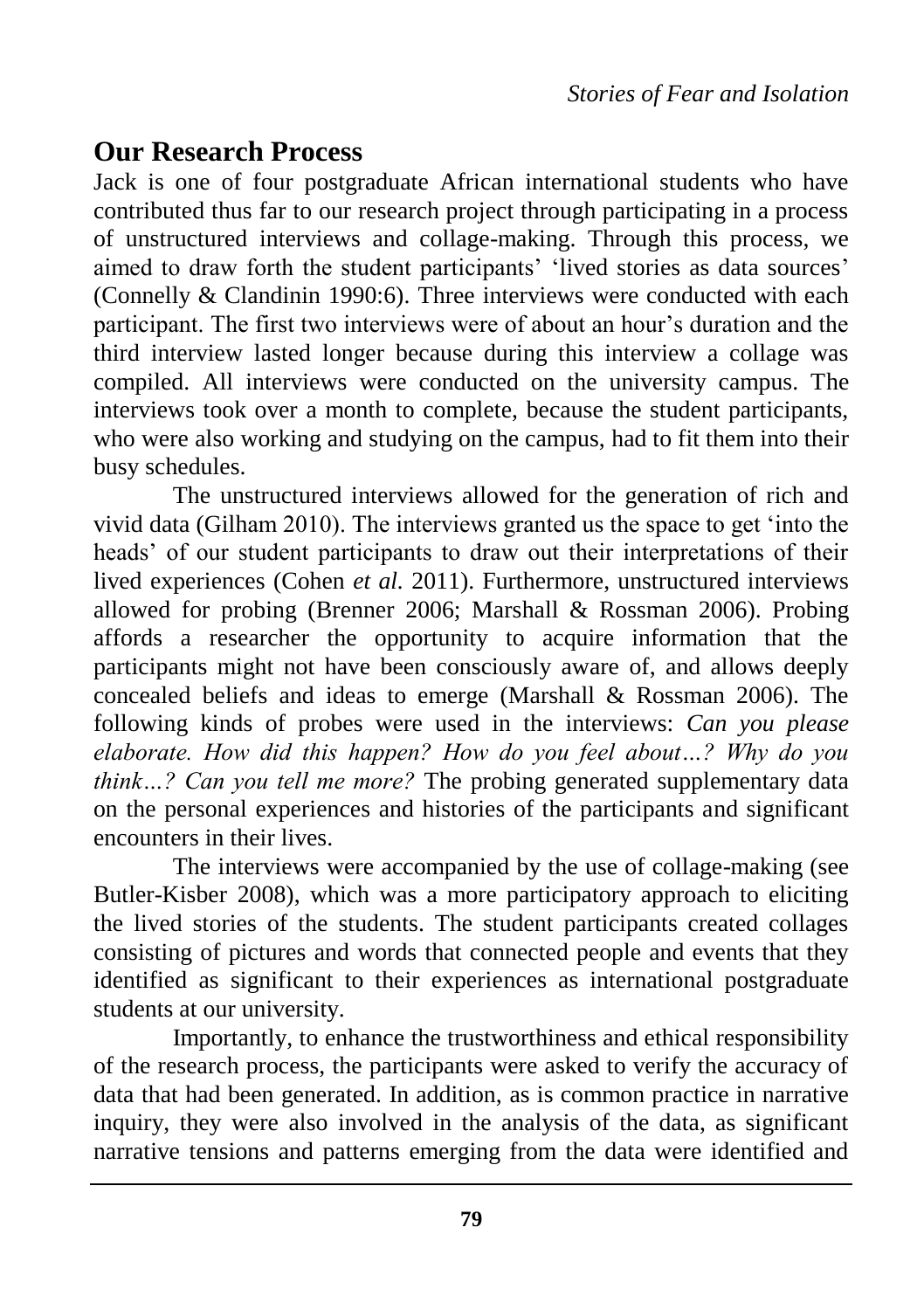#### **Our Research Process**

Jack is one of four postgraduate African international students who have contributed thus far to our research project through participating in a process of unstructured interviews and collage-making. Through this process, we aimed to draw forth the student participants' 'lived stories as data sources' (Connelly & Clandinin 1990:6). Three interviews were conducted with each participant. The first two interviews were of about an hour"s duration and the third interview lasted longer because during this interview a collage was compiled. All interviews were conducted on the university campus. The interviews took over a month to complete, because the student participants, who were also working and studying on the campus, had to fit them into their busy schedules.

The unstructured interviews allowed for the generation of rich and vivid data (Gilham 2010). The interviews granted us the space to get "into the heads" of our student participants to draw out their interpretations of their lived experiences (Cohen *et al.* 2011). Furthermore, unstructured interviews allowed for probing (Brenner 2006; Marshall & Rossman 2006). Probing affords a researcher the opportunity to acquire information that the participants might not have been consciously aware of, and allows deeply concealed beliefs and ideas to emerge (Marshall & Rossman 2006). The following kinds of probes were used in the interviews: *Can you please elaborate. How did this happen? How do you feel about…? Why do you think…? Can you tell me more?* The probing generated supplementary data on the personal experiences and histories of the participants and significant encounters in their lives.

The interviews were accompanied by the use of collage-making (see Butler-Kisber 2008), which was a more participatory approach to eliciting the lived stories of the students. The student participants created collages consisting of pictures and words that connected people and events that they identified as significant to their experiences as international postgraduate students at our university.

Importantly, to enhance the trustworthiness and ethical responsibility of the research process, the participants were asked to verify the accuracy of data that had been generated. In addition, as is common practice in narrative inquiry, they were also involved in the analysis of the data, as significant narrative tensions and patterns emerging from the data were identified and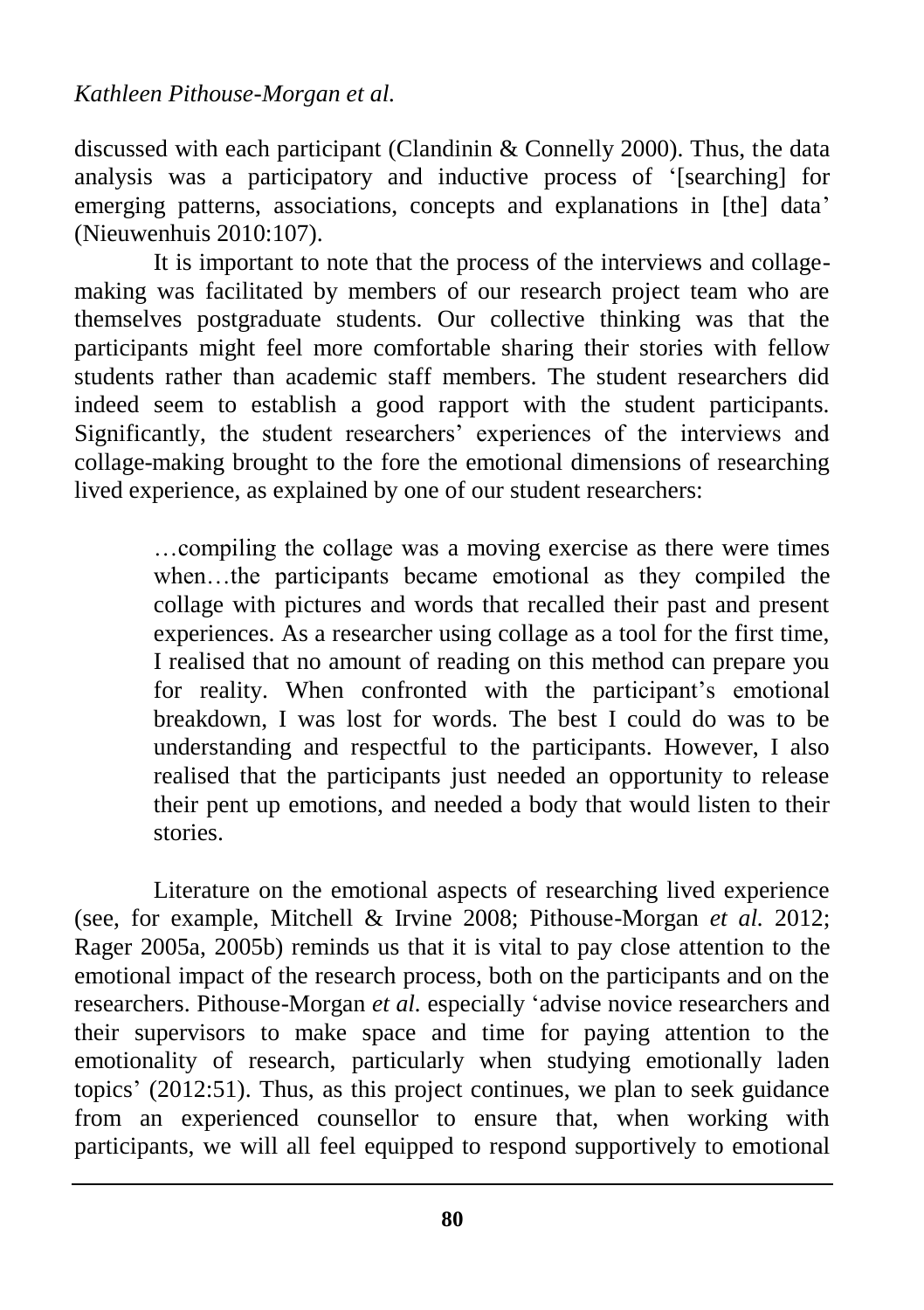discussed with each participant (Clandinin & Connelly 2000). Thus, the data analysis was a participatory and inductive process of "[searching] for emerging patterns, associations, concepts and explanations in [the] data' (Nieuwenhuis 2010:107).

It is important to note that the process of the interviews and collagemaking was facilitated by members of our research project team who are themselves postgraduate students. Our collective thinking was that the participants might feel more comfortable sharing their stories with fellow students rather than academic staff members. The student researchers did indeed seem to establish a good rapport with the student participants. Significantly, the student researchers' experiences of the interviews and collage-making brought to the fore the emotional dimensions of researching lived experience, as explained by one of our student researchers:

> …compiling the collage was a moving exercise as there were times when…the participants became emotional as they compiled the collage with pictures and words that recalled their past and present experiences. As a researcher using collage as a tool for the first time, I realised that no amount of reading on this method can prepare you for reality. When confronted with the participant's emotional breakdown, I was lost for words. The best I could do was to be understanding and respectful to the participants. However, I also realised that the participants just needed an opportunity to release their pent up emotions, and needed a body that would listen to their stories.

Literature on the emotional aspects of researching lived experience (see, for example, Mitchell & Irvine 2008; Pithouse-Morgan *et al.* 2012; Rager 2005a, 2005b) reminds us that it is vital to pay close attention to the emotional impact of the research process, both on the participants and on the researchers. Pithouse-Morgan *et al.* especially "advise novice researchers and their supervisors to make space and time for paying attention to the emotionality of research, particularly when studying emotionally laden topics" (2012:51). Thus, as this project continues, we plan to seek guidance from an experienced counsellor to ensure that, when working with participants, we will all feel equipped to respond supportively to emotional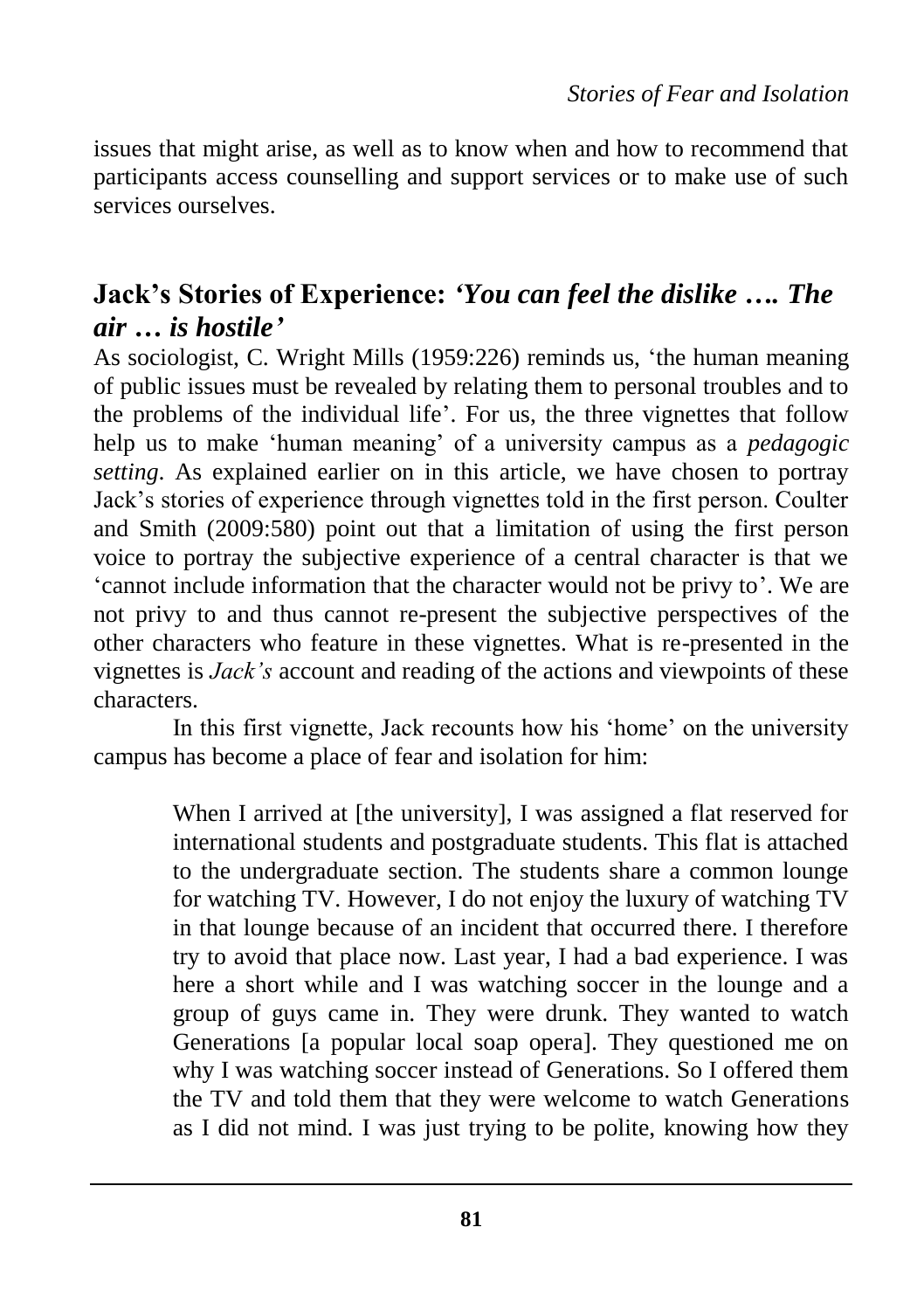issues that might arise, as well as to know when and how to recommend that participants access counselling and support services or to make use of such services ourselves.

#### **Jack's Stories of Experience:** *'You can feel the dislike …. The air … is hostile'*

As sociologist, C. Wright Mills (1959:226) reminds us, "the human meaning of public issues must be revealed by relating them to personal troubles and to the problems of the individual life". For us, the three vignettes that follow help us to make 'human meaning' of a university campus as a *pedagogic setting*. As explained earlier on in this article, we have chosen to portray Jack"s stories of experience through vignettes told in the first person. Coulter and Smith (2009:580) point out that a limitation of using the first person voice to portray the subjective experience of a central character is that we 'cannot include information that the character would not be privy to'. We are not privy to and thus cannot re-present the subjective perspectives of the other characters who feature in these vignettes. What is re-presented in the vignettes is *Jack's* account and reading of the actions and viewpoints of these characters.

In this first vignette, Jack recounts how his "home" on the university campus has become a place of fear and isolation for him:

> When I arrived at [the university], I was assigned a flat reserved for international students and postgraduate students. This flat is attached to the undergraduate section. The students share a common lounge for watching TV. However, I do not enjoy the luxury of watching TV in that lounge because of an incident that occurred there. I therefore try to avoid that place now. Last year, I had a bad experience. I was here a short while and I was watching soccer in the lounge and a group of guys came in. They were drunk. They wanted to watch Generations [a popular local soap opera]. They questioned me on why I was watching soccer instead of Generations. So I offered them the TV and told them that they were welcome to watch Generations as I did not mind. I was just trying to be polite, knowing how they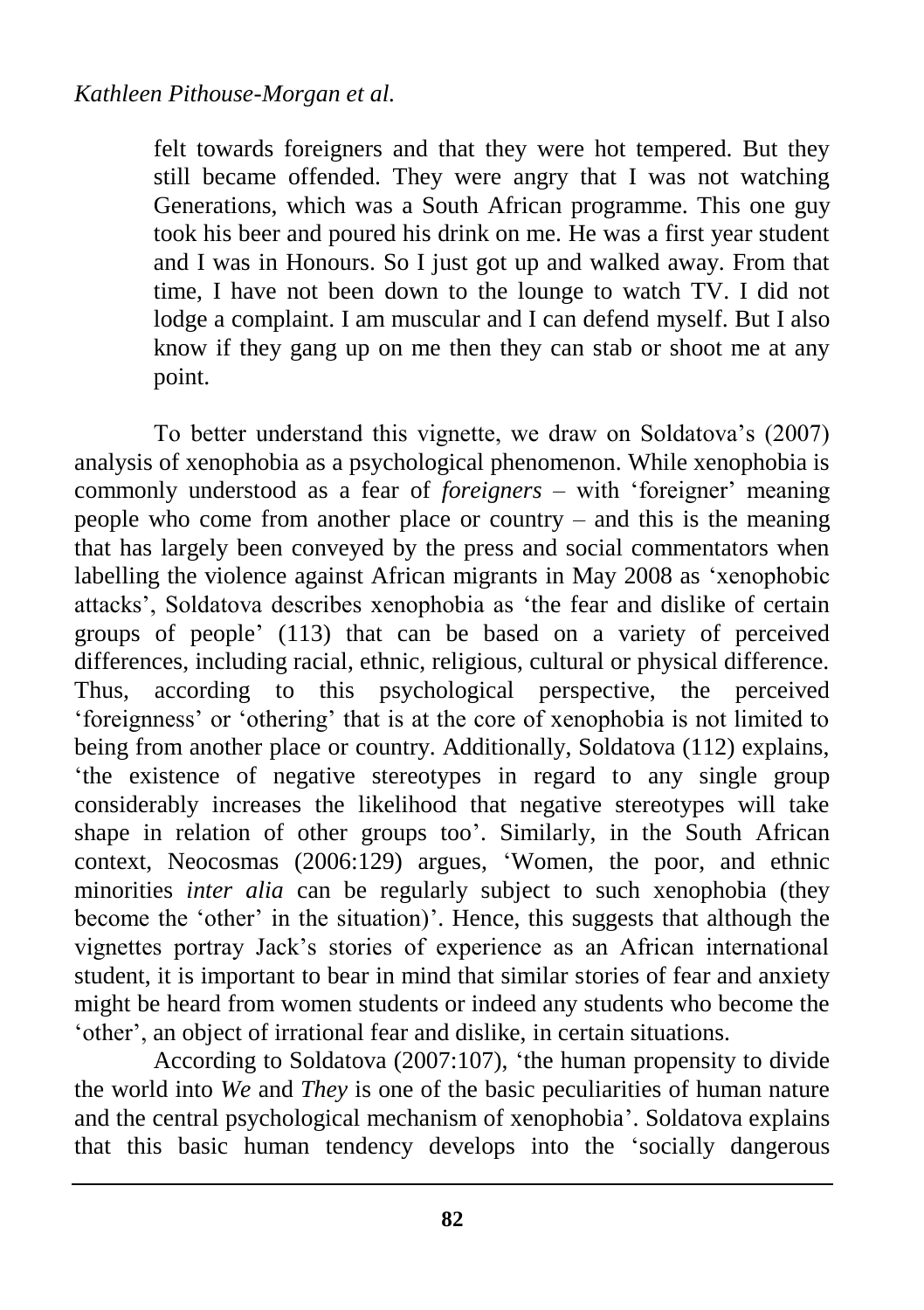felt towards foreigners and that they were hot tempered. But they still became offended. They were angry that I was not watching Generations, which was a South African programme. This one guy took his beer and poured his drink on me. He was a first year student and I was in Honours. So I just got up and walked away. From that time, I have not been down to the lounge to watch TV. I did not lodge a complaint. I am muscular and I can defend myself. But I also know if they gang up on me then they can stab or shoot me at any point.

To better understand this vignette, we draw on Soldatova"s (2007) analysis of xenophobia as a psychological phenomenon. While xenophobia is commonly understood as a fear of *foreigners* – with 'foreigner' meaning people who come from another place or country – and this is the meaning that has largely been conveyed by the press and social commentators when labelling the violence against African migrants in May 2008 as "xenophobic attacks", Soldatova describes xenophobia as "the fear and dislike of certain groups of people" (113) that can be based on a variety of perceived differences, including racial, ethnic, religious, cultural or physical difference. Thus, according to this psychological perspective, the perceived "foreignness" or "othering" that is at the core of xenophobia is not limited to being from another place or country. Additionally, Soldatova (112) explains, "the existence of negative stereotypes in regard to any single group considerably increases the likelihood that negative stereotypes will take shape in relation of other groups too'. Similarly, in the South African context, Neocosmas (2006:129) argues, "Women, the poor, and ethnic minorities *inter alia* can be regularly subject to such xenophobia (they become the 'other' in the situation)'. Hence, this suggests that although the vignettes portray Jack"s stories of experience as an African international student, it is important to bear in mind that similar stories of fear and anxiety might be heard from women students or indeed any students who become the 'other', an object of irrational fear and dislike, in certain situations.

According to Soldatova (2007:107), "the human propensity to divide the world into *We* and *They* is one of the basic peculiarities of human nature and the central psychological mechanism of xenophobia". Soldatova explains that this basic human tendency develops into the "socially dangerous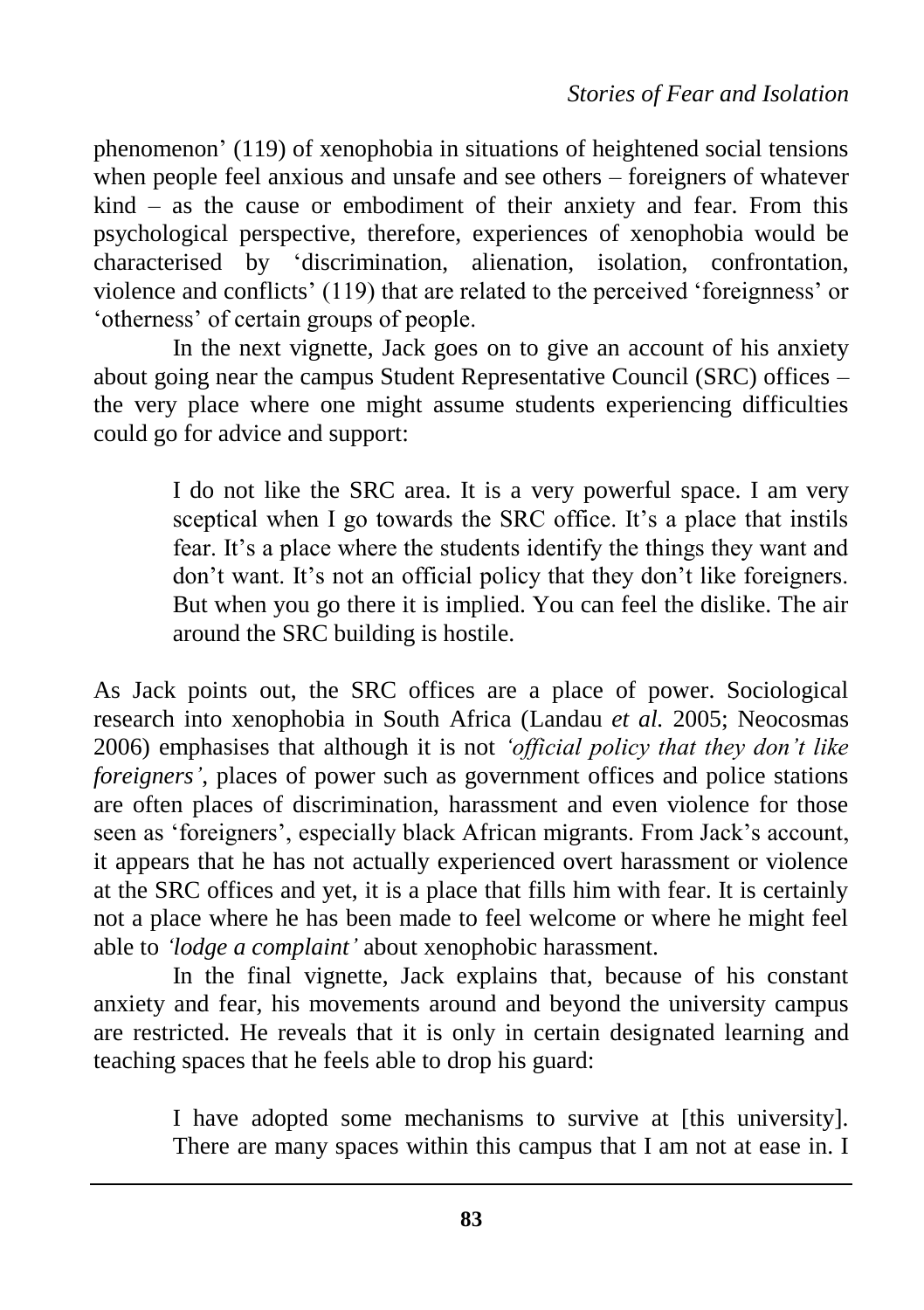phenomenon" (119) of xenophobia in situations of heightened social tensions when people feel anxious and unsafe and see others – foreigners of whatever kind – as the cause or embodiment of their anxiety and fear. From this psychological perspective, therefore, experiences of xenophobia would be characterised by "discrimination, alienation, isolation, confrontation, violence and conflicts" (119) that are related to the perceived "foreignness" or "otherness" of certain groups of people.

In the next vignette, Jack goes on to give an account of his anxiety about going near the campus Student Representative Council (SRC) offices – the very place where one might assume students experiencing difficulties could go for advice and support:

> I do not like the SRC area. It is a very powerful space. I am very sceptical when I go towards the SRC office. It's a place that instils fear. It's a place where the students identify the things they want and don't want. It's not an official policy that they don't like foreigners. But when you go there it is implied. You can feel the dislike. The air around the SRC building is hostile.

As Jack points out, the SRC offices are a place of power. Sociological research into xenophobia in South Africa (Landau *et al.* 2005; Neocosmas 2006) emphasises that although it is not *'official policy that they don't like foreigners'*, places of power such as government offices and police stations are often places of discrimination, harassment and even violence for those seen as 'foreigners', especially black African migrants. From Jack's account, it appears that he has not actually experienced overt harassment or violence at the SRC offices and yet, it is a place that fills him with fear. It is certainly not a place where he has been made to feel welcome or where he might feel able to *'lodge a complaint'* about xenophobic harassment.

In the final vignette, Jack explains that, because of his constant anxiety and fear, his movements around and beyond the university campus are restricted. He reveals that it is only in certain designated learning and teaching spaces that he feels able to drop his guard:

> I have adopted some mechanisms to survive at [this university]. There are many spaces within this campus that I am not at ease in. I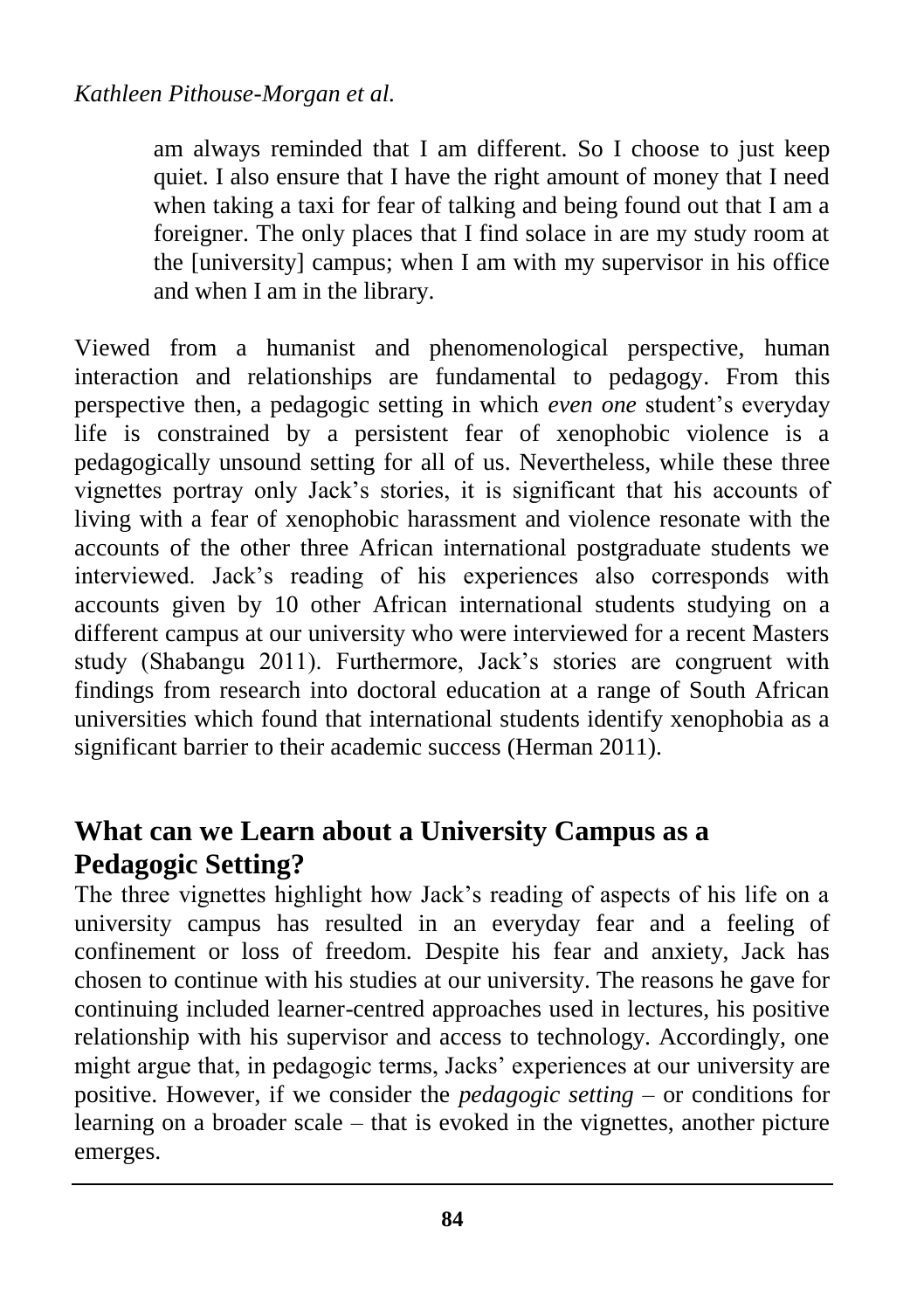am always reminded that I am different. So I choose to just keep quiet. I also ensure that I have the right amount of money that I need when taking a taxi for fear of talking and being found out that I am a foreigner. The only places that I find solace in are my study room at the [university] campus; when I am with my supervisor in his office and when I am in the library.

Viewed from a humanist and phenomenological perspective, human interaction and relationships are fundamental to pedagogy. From this perspective then, a pedagogic setting in which *even one* student's everyday life is constrained by a persistent fear of xenophobic violence is a pedagogically unsound setting for all of us. Nevertheless, while these three vignettes portray only Jack"s stories, it is significant that his accounts of living with a fear of xenophobic harassment and violence resonate with the accounts of the other three African international postgraduate students we interviewed. Jack"s reading of his experiences also corresponds with accounts given by 10 other African international students studying on a different campus at our university who were interviewed for a recent Masters study (Shabangu 2011). Furthermore, Jack"s stories are congruent with findings from research into doctoral education at a range of South African universities which found that international students identify xenophobia as a significant barrier to their academic success (Herman 2011).

### **What can we Learn about a University Campus as a Pedagogic Setting?**

The three vignettes highlight how Jack"s reading of aspects of his life on a university campus has resulted in an everyday fear and a feeling of confinement or loss of freedom. Despite his fear and anxiety, Jack has chosen to continue with his studies at our university. The reasons he gave for continuing included learner-centred approaches used in lectures, his positive relationship with his supervisor and access to technology. Accordingly, one might argue that, in pedagogic terms, Jacks" experiences at our university are positive. However, if we consider the *pedagogic setting* – or conditions for learning on a broader scale – that is evoked in the vignettes, another picture emerges.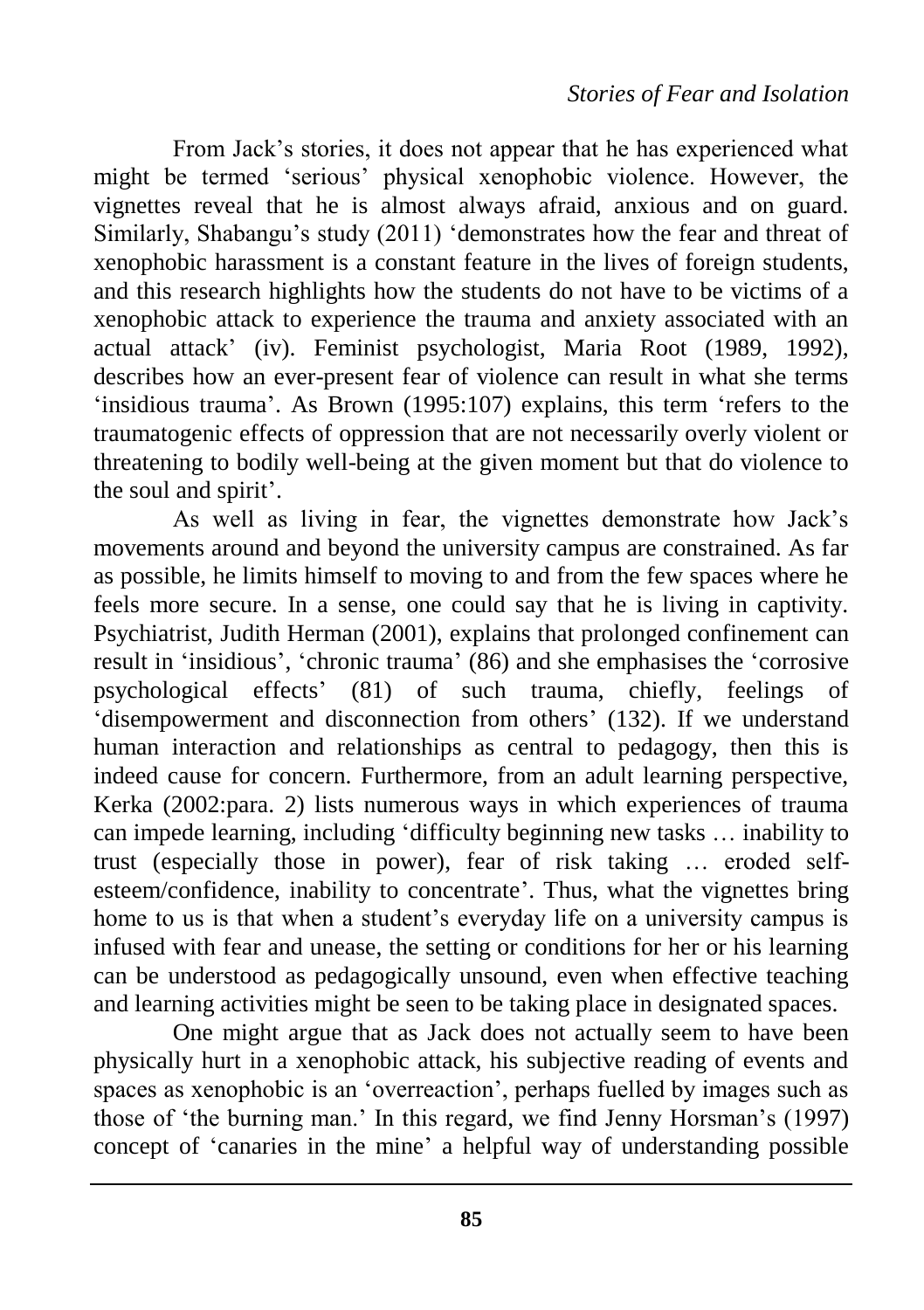From Jack"s stories, it does not appear that he has experienced what might be termed "serious" physical xenophobic violence. However, the vignettes reveal that he is almost always afraid, anxious and on guard. Similarly, Shabangu"s study (2011) "demonstrates how the fear and threat of xenophobic harassment is a constant feature in the lives of foreign students, and this research highlights how the students do not have to be victims of a xenophobic attack to experience the trauma and anxiety associated with an actual attack" (iv). Feminist psychologist, Maria Root (1989, 1992), describes how an ever-present fear of violence can result in what she terms 'insidious trauma'. As Brown (1995:107) explains, this term 'refers to the traumatogenic effects of oppression that are not necessarily overly violent or threatening to bodily well-being at the given moment but that do violence to the soul and spirit'.

As well as living in fear, the vignettes demonstrate how Jack"s movements around and beyond the university campus are constrained. As far as possible, he limits himself to moving to and from the few spaces where he feels more secure. In a sense, one could say that he is living in captivity. Psychiatrist, Judith Herman (2001), explains that prolonged confinement can result in 'insidious', 'chronic trauma' (86) and she emphasises the 'corrosive psychological effects" (81) of such trauma, chiefly, feelings of "disempowerment and disconnection from others" (132). If we understand human interaction and relationships as central to pedagogy, then this is indeed cause for concern. Furthermore, from an adult learning perspective, Kerka (2002:para. 2) lists numerous ways in which experiences of trauma can impede learning, including "difficulty beginning new tasks … inability to trust (especially those in power), fear of risk taking … eroded selfesteem/confidence, inability to concentrate'. Thus, what the vignettes bring home to us is that when a student's everyday life on a university campus is infused with fear and unease, the setting or conditions for her or his learning can be understood as pedagogically unsound, even when effective teaching and learning activities might be seen to be taking place in designated spaces.

One might argue that as Jack does not actually seem to have been physically hurt in a xenophobic attack, his subjective reading of events and spaces as xenophobic is an "overreaction", perhaps fuelled by images such as those of 'the burning man.' In this regard, we find Jenny Horsman's (1997) concept of "canaries in the mine" a helpful way of understanding possible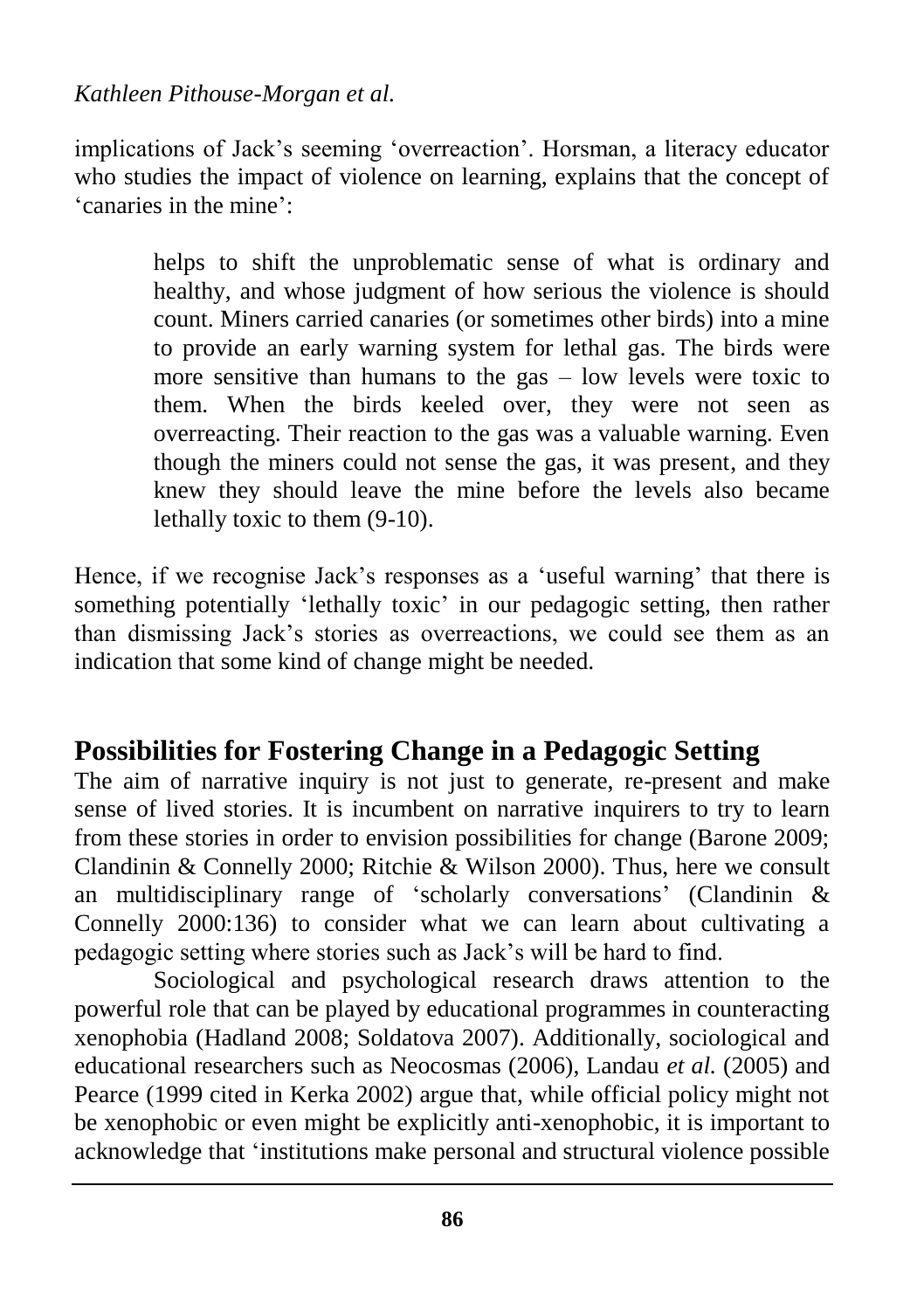implications of Jack"s seeming "overreaction". Horsman, a literacy educator who studies the impact of violence on learning, explains that the concept of "canaries in the mine":

> helps to shift the unproblematic sense of what is ordinary and healthy, and whose judgment of how serious the violence is should count. Miners carried canaries (or sometimes other birds) into a mine to provide an early warning system for lethal gas. The birds were more sensitive than humans to the gas – low levels were toxic to them. When the birds keeled over, they were not seen as overreacting. Their reaction to the gas was a valuable warning. Even though the miners could not sense the gas, it was present, and they knew they should leave the mine before the levels also became lethally toxic to them (9-10).

Hence, if we recognise Jack's responses as a 'useful warning' that there is something potentially 'lethally toxic' in our pedagogic setting, then rather than dismissing Jack"s stories as overreactions, we could see them as an indication that some kind of change might be needed.

### **Possibilities for Fostering Change in a Pedagogic Setting**

The aim of narrative inquiry is not just to generate, re-present and make sense of lived stories. It is incumbent on narrative inquirers to try to learn from these stories in order to envision possibilities for change (Barone 2009; Clandinin & Connelly 2000; Ritchie & Wilson 2000). Thus, here we consult an multidisciplinary range of "scholarly conversations" (Clandinin & Connelly 2000:136) to consider what we can learn about cultivating a pedagogic setting where stories such as Jack"s will be hard to find.

Sociological and psychological research draws attention to the powerful role that can be played by educational programmes in counteracting xenophobia (Hadland 2008; Soldatova 2007). Additionally, sociological and educational researchers such as Neocosmas (2006), Landau *et al.* (2005) and Pearce (1999 cited in Kerka 2002) argue that, while official policy might not be xenophobic or even might be explicitly anti-xenophobic, it is important to acknowledge that "institutions make personal and structural violence possible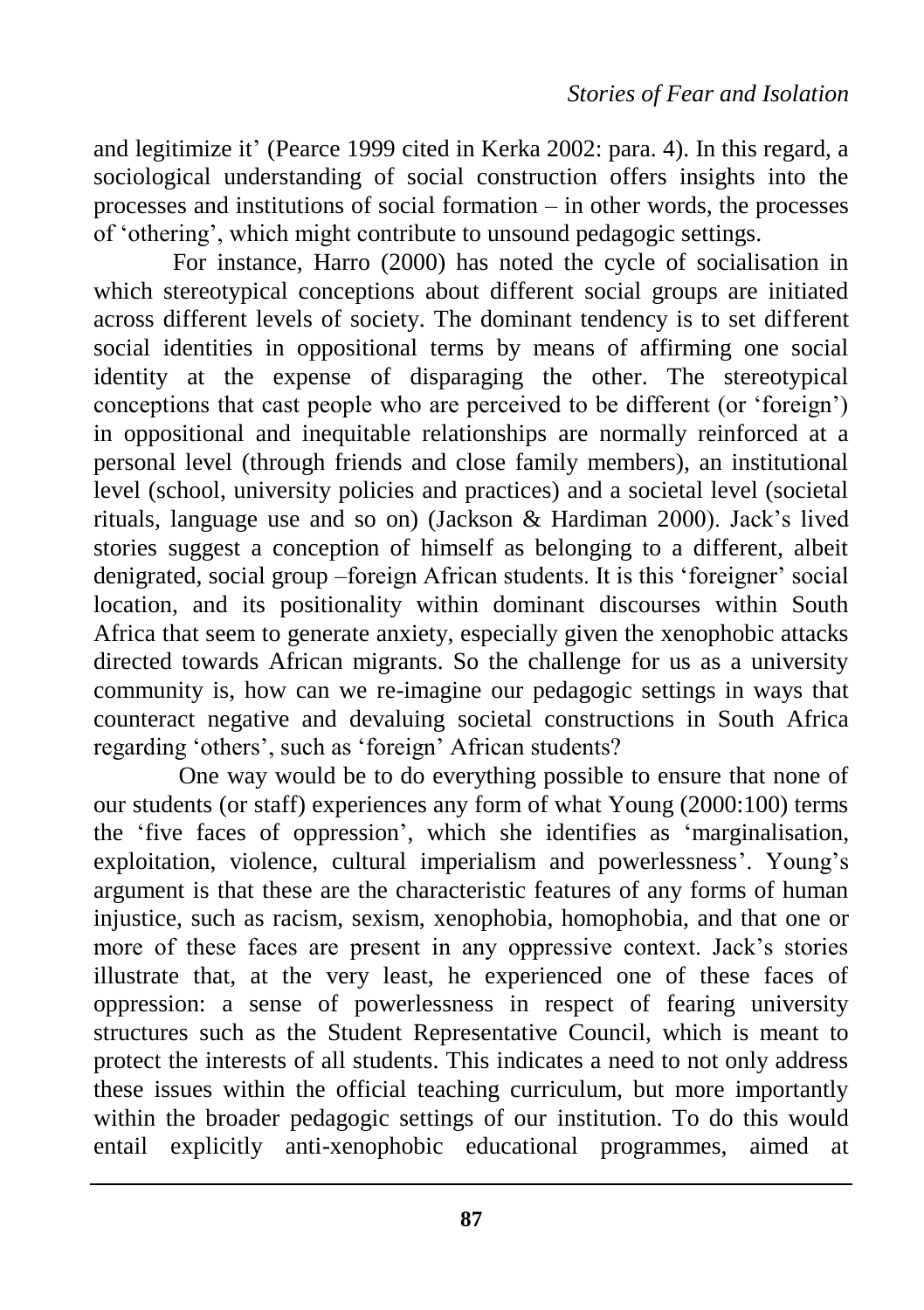and legitimize it" (Pearce 1999 cited in Kerka 2002: para. 4). In this regard, a sociological understanding of social construction offers insights into the processes and institutions of social formation – in other words, the processes of "othering", which might contribute to unsound pedagogic settings.

For instance, Harro (2000) has noted the cycle of socialisation in which stereotypical conceptions about different social groups are initiated across different levels of society. The dominant tendency is to set different social identities in oppositional terms by means of affirming one social identity at the expense of disparaging the other. The stereotypical conceptions that cast people who are perceived to be different (or "foreign") in oppositional and inequitable relationships are normally reinforced at a personal level (through friends and close family members), an institutional level (school, university policies and practices) and a societal level (societal rituals, language use and so on) (Jackson & Hardiman 2000). Jack"s lived stories suggest a conception of himself as belonging to a different, albeit denigrated, social group –foreign African students. It is this "foreigner" social location, and its positionality within dominant discourses within South Africa that seem to generate anxiety, especially given the xenophobic attacks directed towards African migrants. So the challenge for us as a university community is, how can we re-imagine our pedagogic settings in ways that counteract negative and devaluing societal constructions in South Africa regarding 'others', such as 'foreign' African students?

One way would be to do everything possible to ensure that none of our students (or staff) experiences any form of what Young (2000:100) terms the "five faces of oppression", which she identifies as "marginalisation, exploitation, violence, cultural imperialism and powerlessness'. Young's argument is that these are the characteristic features of any forms of human injustice, such as racism, sexism, xenophobia, homophobia, and that one or more of these faces are present in any oppressive context. Jack's stories illustrate that, at the very least, he experienced one of these faces of oppression: a sense of powerlessness in respect of fearing university structures such as the Student Representative Council, which is meant to protect the interests of all students. This indicates a need to not only address these issues within the official teaching curriculum, but more importantly within the broader pedagogic settings of our institution. To do this would entail explicitly anti-xenophobic educational programmes, aimed at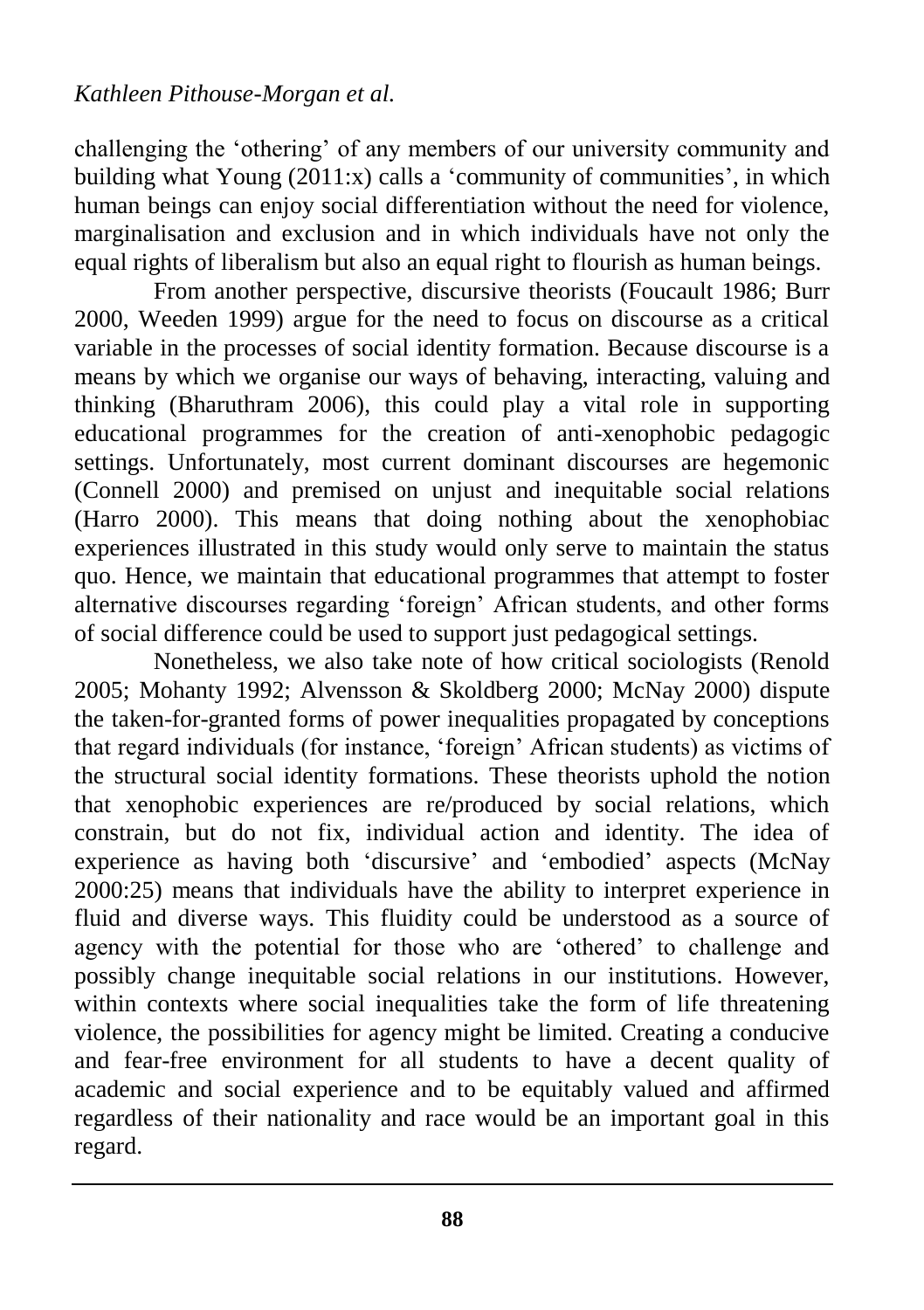challenging the "othering" of any members of our university community and building what Young  $(2011:x)$  calls a 'community of communities', in which human beings can enjoy social differentiation without the need for violence, marginalisation and exclusion and in which individuals have not only the equal rights of liberalism but also an equal right to flourish as human beings.

From another perspective, discursive theorists (Foucault 1986; Burr 2000, Weeden 1999) argue for the need to focus on discourse as a critical variable in the processes of social identity formation. Because discourse is a means by which we organise our ways of behaving, interacting, valuing and thinking (Bharuthram 2006), this could play a vital role in supporting educational programmes for the creation of anti-xenophobic pedagogic settings. Unfortunately, most current dominant discourses are hegemonic (Connell 2000) and premised on unjust and inequitable social relations (Harro 2000). This means that doing nothing about the xenophobiac experiences illustrated in this study would only serve to maintain the status quo. Hence, we maintain that educational programmes that attempt to foster alternative discourses regarding "foreign" African students, and other forms of social difference could be used to support just pedagogical settings.

Nonetheless, we also take note of how critical sociologists (Renold 2005; Mohanty 1992; Alvensson & Skoldberg 2000; McNay 2000) dispute the taken-for-granted forms of power inequalities propagated by conceptions that regard individuals (for instance, "foreign" African students) as victims of the structural social identity formations. These theorists uphold the notion that xenophobic experiences are re/produced by social relations, which constrain, but do not fix, individual action and identity. The idea of experience as having both "discursive" and "embodied" aspects (McNay 2000:25) means that individuals have the ability to interpret experience in fluid and diverse ways. This fluidity could be understood as a source of agency with the potential for those who are "othered" to challenge and possibly change inequitable social relations in our institutions. However, within contexts where social inequalities take the form of life threatening violence, the possibilities for agency might be limited. Creating a conducive and fear-free environment for all students to have a decent quality of academic and social experience and to be equitably valued and affirmed regardless of their nationality and race would be an important goal in this regard.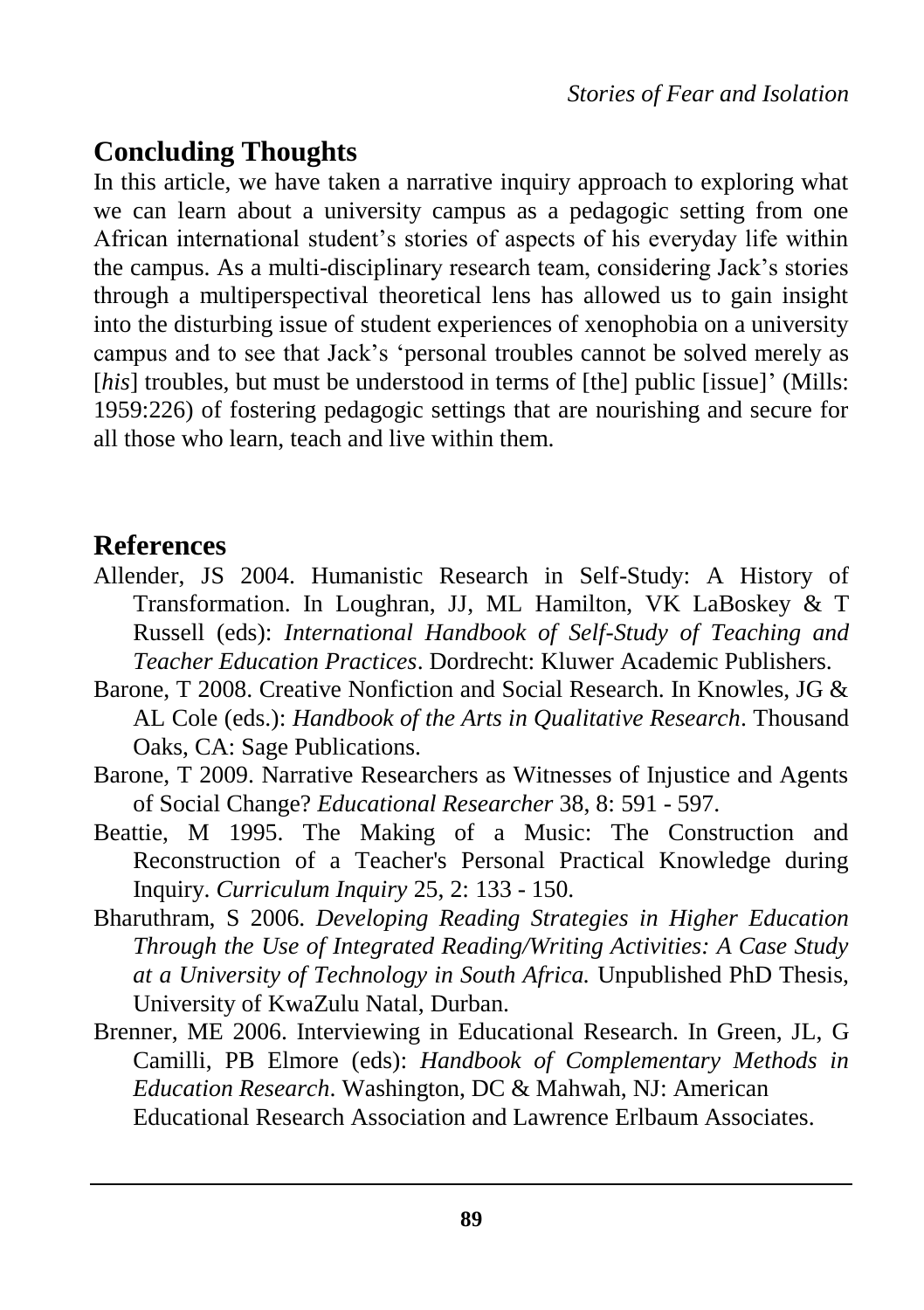## **Concluding Thoughts**

In this article, we have taken a narrative inquiry approach to exploring what we can learn about a university campus as a pedagogic setting from one African international student's stories of aspects of his everyday life within the campus. As a multi-disciplinary research team, considering Jack"s stories through a multiperspectival theoretical lens has allowed us to gain insight into the disturbing issue of student experiences of xenophobia on a university campus and to see that Jack"s "personal troubles cannot be solved merely as [his] troubles, but must be understood in terms of [the] public [issue]' (Mills: 1959:226) of fostering pedagogic settings that are nourishing and secure for all those who learn, teach and live within them.

#### **References**

- Allender, JS 2004. Humanistic Research in Self-Study: A History of Transformation. In Loughran, JJ, ML Hamilton, VK LaBoskey & T Russell (eds): *International Handbook of Self-Study of Teaching and Teacher Education Practices*. Dordrecht: Kluwer Academic Publishers.
- Barone, T 2008. Creative Nonfiction and Social Research. In Knowles, JG & AL Cole (eds.): *Handbook of the Arts in Qualitative Research*. Thousand Oaks, CA: Sage Publications.
- Barone, T 2009. Narrative Researchers as Witnesses of Injustice and Agents of Social Change? *Educational Researcher* 38, 8: 591 - 597.
- Beattie, M 1995. The Making of a Music: The Construction and Reconstruction of a Teacher's Personal Practical Knowledge during Inquiry. *Curriculum Inquiry* 25, 2: 133 - 150.
- Bharuthram, S 2006. *Developing Reading Strategies in Higher Education Through the Use of Integrated Reading/Writing Activities: A Case Study at a University of Technology in South Africa.* Unpublished PhD Thesis, University of KwaZulu Natal, Durban.
- Brenner, ME 2006. Interviewing in Educational Research. In Green, JL, G Camilli, PB Elmore (eds): *Handbook of Complementary Methods in Education Research*. Washington, DC & Mahwah, NJ: American Educational Research Association and Lawrence Erlbaum Associates.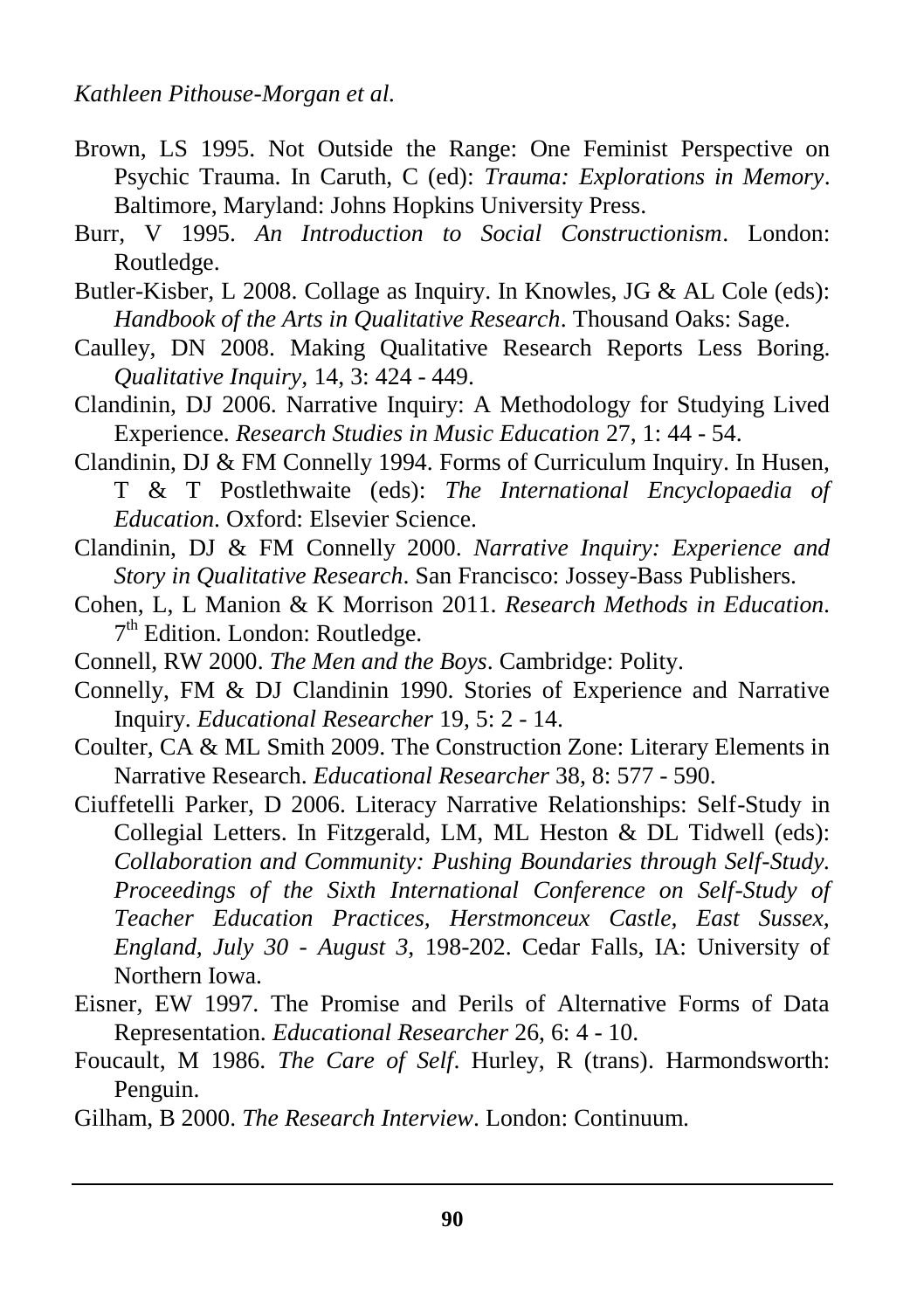- Brown, LS 1995. Not Outside the Range: One Feminist Perspective on Psychic Trauma. In Caruth, C (ed): *Trauma: Explorations in Memory*. Baltimore, Maryland: Johns Hopkins University Press.
- Burr, V 1995. *An Introduction to Social Constructionism*. London: Routledge.
- Butler-Kisber, L 2008. Collage as Inquiry. In Knowles, JG & AL Cole (eds): *Handbook of the Arts in Qualitative Research*. Thousand Oaks: Sage.
- Caulley, DN 2008. Making Qualitative Research Reports Less Boring. *Qualitative Inquiry,* 14, 3: 424 - 449.
- Clandinin, DJ 2006. Narrative Inquiry: A Methodology for Studying Lived Experience. *Research Studies in Music Education* 27, 1: 44 - 54.
- Clandinin, DJ & FM Connelly 1994. Forms of Curriculum Inquiry. In Husen, T & T Postlethwaite (eds): *The International Encyclopaedia of Education*. Oxford: Elsevier Science.
- Clandinin, DJ & FM Connelly 2000. *Narrative Inquiry: Experience and Story in Qualitative Research*. San Francisco: Jossey-Bass Publishers.
- Cohen, L, L Manion & K Morrison 2011. *Research Methods in Education.*  7<sup>th</sup> Edition. London: Routledge.
- Connell, RW 2000. *The Men and the Boys*. Cambridge: Polity.
- Connelly, FM & DJ Clandinin 1990. Stories of Experience and Narrative Inquiry. *Educational Researcher* 19, 5: 2 - 14.
- Coulter, CA & ML Smith 2009. The Construction Zone: Literary Elements in Narrative Research. *Educational Researcher* 38, 8: 577 - 590.
- Ciuffetelli Parker, D 2006. Literacy Narrative Relationships: Self-Study in Collegial Letters. In Fitzgerald, LM, ML Heston & DL Tidwell (eds): *Collaboration and Community: Pushing Boundaries through Self-Study. Proceedings of the Sixth International Conference on Self-Study of Teacher Education Practices, Herstmonceux Castle, East Sussex, England, July 30 - August 3*, 198-202. Cedar Falls, IA: University of Northern Iowa.
- Eisner, EW 1997. The Promise and Perils of Alternative Forms of Data Representation. *Educational Researcher* 26, 6: 4 - 10.
- Foucault, M 1986. *The Care of Self*. Hurley, R (trans). Harmondsworth: Penguin.
- Gilham, B 2000. *The Research Interview*. London: Continuum.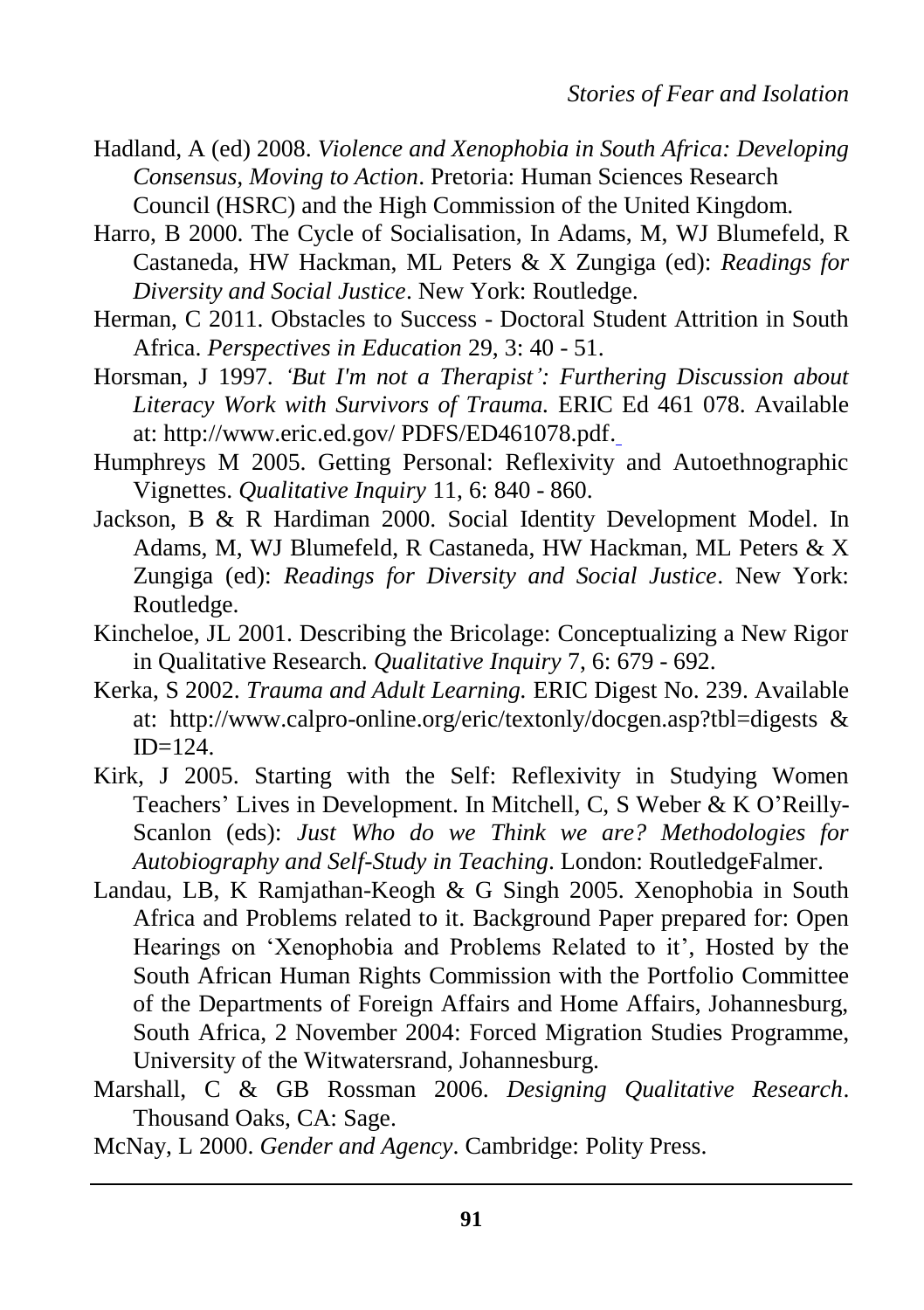- Hadland, A (ed) 2008. *Violence and Xenophobia in South Africa: Developing Consensus, Moving to Action*. Pretoria: Human Sciences Research Council (HSRC) and the High Commission of the United Kingdom.
- Harro, B 2000. The Cycle of Socialisation, In Adams, M, WJ Blumefeld, R Castaneda, HW Hackman, ML Peters & X Zungiga (ed): *Readings for Diversity and Social Justice*. New York: Routledge.
- Herman, C 2011. Obstacles to Success Doctoral Student Attrition in South Africa. *Perspectives in Education* 29, 3: 40 - 51.
- Horsman, J 1997. *'But I'm not a Therapist': Furthering Discussion about Literacy Work with Survivors of Trauma.* ERIC Ed 461 078. Available at: [http://www.eric.ed.gov/ PDFS/ED461078.pdf.](http://www.eric.ed.gov/%20PDFS/ED461078.pdf)
- Humphreys M 2005. Getting Personal: Reflexivity and Autoethnographic Vignettes. *Qualitative Inquiry* 11, 6: 840 - 860.
- Jackson, B & R Hardiman 2000. Social Identity Development Model. In Adams, M, WJ Blumefeld, R Castaneda, HW Hackman, ML Peters & X Zungiga (ed): *Readings for Diversity and Social Justice*. New York: Routledge.
- Kincheloe, JL 2001. Describing the Bricolage: Conceptualizing a New Rigor in Qualitative Research. *Qualitative Inquiry* 7, 6: 679 - 692.
- Kerka, S 2002. *Trauma and Adult Learning.* ERIC Digest No. 239. Available at: [http://www.calpro-online.org/eric/textonly/docgen.asp?tbl=digests &](http://www.calpro-online.org/eric/textonly/docgen.asp?tbl=digests%20&%20ID=124)  $ID=124$ .
- Kirk, J 2005. Starting with the Self: Reflexivity in Studying Women Teachers" Lives in Development. In Mitchell, C, S Weber & K O"Reilly-Scanlon (eds): *Just Who do we Think we are? Methodologies for Autobiography and Self-Study in Teaching*. London: RoutledgeFalmer.
- Landau, LB, K Ramjathan-Keogh & G Singh 2005. Xenophobia in South Africa and Problems related to it. Background Paper prepared for: Open Hearings on 'Xenophobia and Problems Related to it', Hosted by the South African Human Rights Commission with the Portfolio Committee of the Departments of Foreign Affairs and Home Affairs, Johannesburg, South Africa, 2 November 2004: Forced Migration Studies Programme, University of the Witwatersrand, Johannesburg.
- Marshall, C & GB Rossman 2006. *Designing Qualitative Research*. Thousand Oaks, CA: Sage.
- McNay, L 2000. *Gender and Agency*. Cambridge: Polity Press.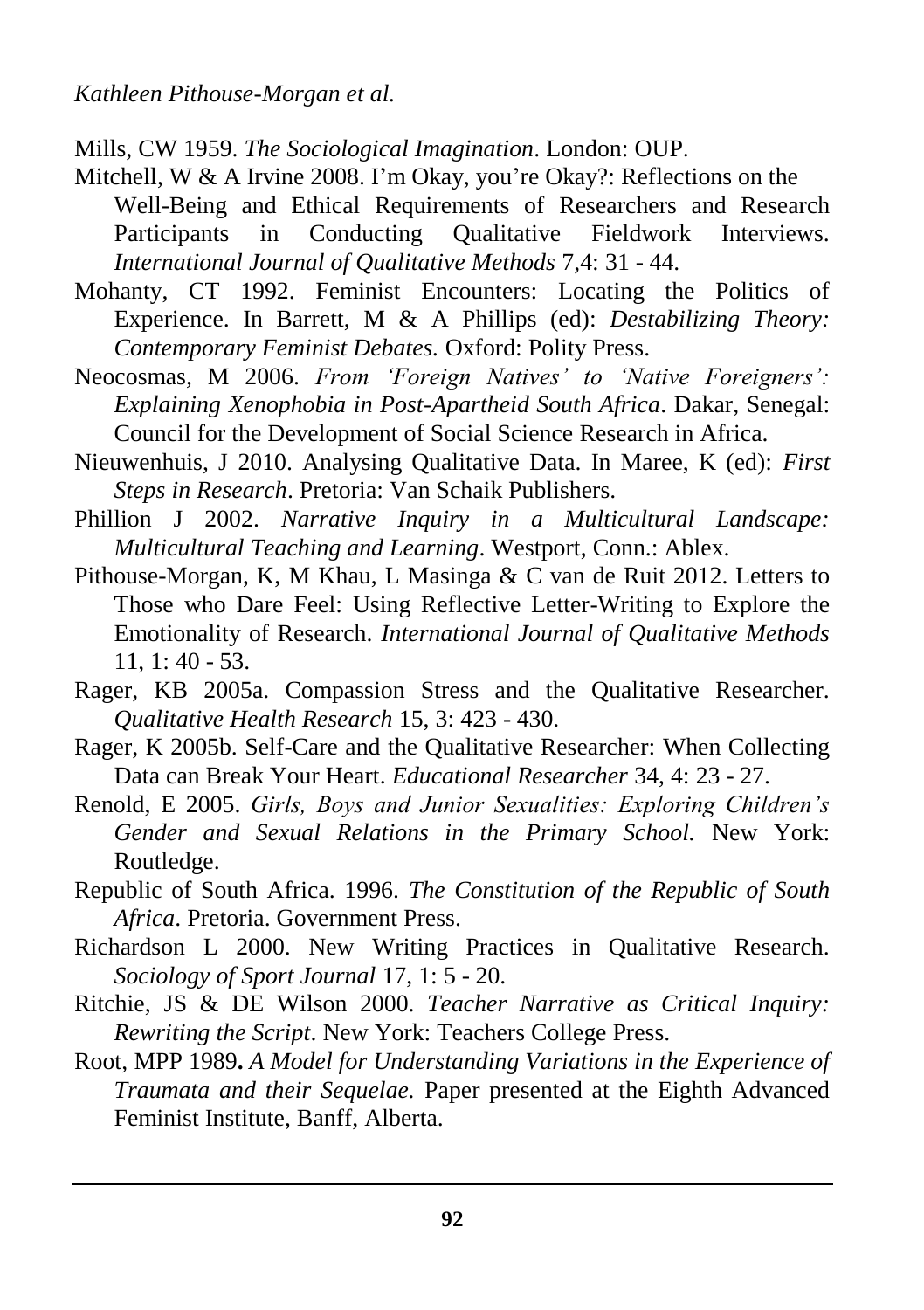Mills, CW 1959. *The Sociological Imagination*. London: OUP.

- Mitchell, W & A Irvine 2008. I'm Okay, you're Okay?: Reflections on the Well-Being and Ethical Requirements of Researchers and Research Participants in Conducting Qualitative Fieldwork Interviews. *International Journal of Qualitative Methods* 7,4: 31 - 44.
- Mohanty, CT 1992. Feminist Encounters: Locating the Politics of Experience. In Barrett, M & A Phillips (ed): *Destabilizing Theory: Contemporary Feminist Debates.* Oxford: Polity Press.
- Neocosmas, M 2006. *From 'Foreign Natives' to 'Native Foreigners': Explaining Xenophobia in Post-Apartheid South Africa*. Dakar, Senegal: Council for the Development of Social Science Research in Africa.
- Nieuwenhuis, J 2010. Analysing Qualitative Data. In Maree, K (ed): *First Steps in Research*. Pretoria: Van Schaik Publishers.
- Phillion J 2002. *Narrative Inquiry in a Multicultural Landscape: Multicultural Teaching and Learning*. Westport, Conn.: Ablex.
- Pithouse-Morgan, K, M Khau, L Masinga & C van de Ruit 2012. Letters to Those who Dare Feel: Using Reflective Letter-Writing to Explore the Emotionality of Research. *International Journal of Qualitative Methods* 11, 1: 40 - 53.
- Rager, KB 2005a. Compassion Stress and the Qualitative Researcher. *Qualitative Health Research* 15, 3: 423 - 430.
- Rager, K 2005b. Self-Care and the Qualitative Researcher: When Collecting Data can Break Your Heart. *Educational Researcher* 34, 4: 23 - 27.
- Renold, E 2005. *Girls, Boys and Junior Sexualities: Exploring Children's Gender and Sexual Relations in the Primary School.* New York: Routledge.
- Republic of South Africa. 1996. *The Constitution of the Republic of South Africa*. Pretoria. Government Press.
- Richardson L 2000. New Writing Practices in Qualitative Research. *Sociology of Sport Journal* 17, 1: 5 - 20.
- Ritchie, JS & DE Wilson 2000. *Teacher Narrative as Critical Inquiry: Rewriting the Script*. New York: Teachers College Press.
- Root, MPP 1989**.** *A Model for Understanding Variations in the Experience of Traumata and their Sequelae.* Paper presented at the Eighth Advanced Feminist Institute, Banff, Alberta.